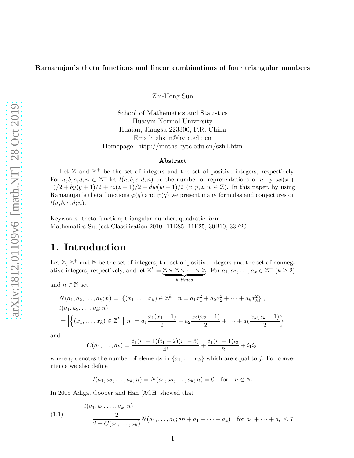Zhi-Hong Sun

School of Mathematics and Statistics Huaiyin Normal University Huaian, Jiangsu 223300, P.R. China Email: zhsun@hytc.edu.cn Homepage: http://maths.hytc.edu.cn/szh1.htm

#### Abstract

Let  $\mathbb{Z}$  and  $\mathbb{Z}^+$  be the set of integers and the set of positive integers, respectively. For  $a, b, c, d, n \in \mathbb{Z}^+$  let  $t(a, b, c, d; n)$  be the number of representations of n by  $ax(x +$  $1)/2 + by(y + 1)/2 + cz(z + 1)/2 + dw(w + 1)/2$   $(x, y, z, w \in \mathbb{Z})$ . In this paper, by using Ramanujan's theta functions  $\varphi(q)$  and  $\psi(q)$  we present many formulas and conjectures on  $t(a, b, c, d; n).$ 

Keywords: theta function; triangular number; quadratic form Mathematics Subject Classification 2010: 11D85, 11E25, 30B10, 33E20

### 1. Introduction

Let  $\mathbb{Z}, \mathbb{Z}^+$  and  $\mathbb N$  be the set of integers, the set of positive integers and the set of nonnegative integers, respectively, and let  $\mathbb{Z}^k = \mathbb{Z} \times \mathbb{Z} \times \cdots \times \mathbb{Z}$  $\overbrace{k \; times}$ . For  $a_1, a_2, ..., a_k \in \mathbb{Z}^+$   $(k \geq 2)$ 

and  $n \in \mathbb{N}$  set

$$
N(a_1, a_2, \dots, a_k; n) = |\{(x_1, \dots, x_k) \in \mathbb{Z}^k \mid n = a_1 x_1^2 + a_2 x_2^2 + \dots + a_k x_k^2\}|,
$$
  
\n
$$
t(a_1, a_2, \dots, a_k; n)
$$
  
\n
$$
= |\{(x_1, \dots, x_k) \in \mathbb{Z}^k \mid n = a_1 \frac{x_1(x_1 - 1)}{2} + a_2 \frac{x_2(x_2 - 1)}{2} + \dots + a_k \frac{x_k(x_k - 1)}{2}\}|
$$

and

$$
C(a_1,\ldots,a_k) = \frac{i_1(i_1-1)(i_1-2)(i_1-3)}{4!} + \frac{i_1(i_1-1)i_2}{2} + i_1i_3,
$$

where  $i_j$  denotes the number of elements in  $\{a_1, \ldots, a_k\}$  which are equal to j. For convenience we also define

$$
t(a_1, a_2,..., a_k; n) = N(a_1, a_2,..., a_k; n) = 0
$$
 for  $n \notin \mathbb{N}$ .

In 2005 Adiga, Cooper and Han [ACH] showed that

(1.1) 
$$
t(a_1, a_2,..., a_k; n)
$$
  
= 
$$
\frac{2}{2 + C(a_1,..., a_k)} N(a_1,..., a_k; 8n + a_1 + \dots + a_k) \text{ for } a_1 + \dots + a_k \le 7.
$$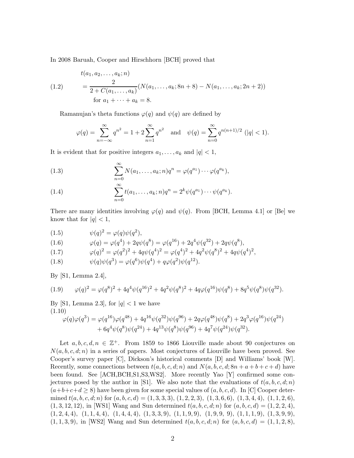In 2008 Baruah, Cooper and Hirschhorn [BCH] proved that

(1.2) 
$$
t(a_1, a_2,..., a_k; n)
$$

$$
= \frac{2}{2 + C(a_1,..., a_k)} (N(a_1,..., a_k; 8n + 8) - N(a_1,..., a_k; 2n + 2))
$$
  
for  $a_1 + \cdots + a_k = 8$ .

Ramanujan's theta functions  $\varphi(q)$  and  $\psi(q)$  are defined by

$$
\varphi(q) = \sum_{n = -\infty}^{\infty} q^{n^2} = 1 + 2 \sum_{n = 1}^{\infty} q^{n^2} \quad \text{and} \quad \psi(q) = \sum_{n = 0}^{\infty} q^{n(n+1)/2} \ (|q| < 1).
$$

It is evident that for positive integers  $a_1, \ldots, a_k$  and  $|q| < 1$ ,

(1.3) 
$$
\sum_{n=0}^{\infty} N(a_1,\ldots,a_k;n)q^n = \varphi(q^{a_1})\cdots\varphi(q^{a_k}),
$$

(1.4) 
$$
\sum_{n=0}^{\infty} t(a_1, \dots, a_k; n) q^n = 2^k \psi(q^{a_1}) \cdots \psi(q^{a_k}).
$$

There are many identities involving  $\varphi(q)$  and  $\psi(q)$ . From [BCH, Lemma 4.1] or [Be] we know that for  $|q| < 1$ ,

(1.5) 
$$
\psi(q)^2 = \varphi(q)\psi(q^2),
$$

(1.6) 
$$
\varphi(q) = \varphi(q^4) + 2q\psi(q^8) = \varphi(q^{16}) + 2q^4\psi(q^{32}) + 2q\psi(q^8),
$$

(1.7) 
$$
\varphi(q)^2 = \varphi(q^2)^2 + 4q\psi(q^4)^2 = \varphi(q^4)^2 + 4q^2\psi(q^8)^2 + 4q\psi(q^4)^2,
$$

(1.8) 
$$
\psi(q)\psi(q^3) = \varphi(q^6)\psi(q^4) + q\varphi(q^2)\psi(q^{12}).
$$

By [S1, Lemma 2.4],

(1.9) 
$$
\varphi(q)^2 = \varphi(q^8)^2 + 4q^4\psi(q^{16})^2 + 4q^2\psi(q^8)^2 + 4q\varphi(q^{16})\psi(q^8) + 8q^5\psi(q^8)\psi(q^{32}).
$$

By [S1, Lemma 2.3], for  $|q| < 1$  we have (1.10)

$$
\varphi(q)\varphi(q^3) = \varphi(q^{16})\varphi(q^{48}) + 4q^{16}\psi(q^{32})\psi(q^{96}) + 2q\varphi(q^{48})\psi(q^8) + 2q^3\varphi(q^{16})\psi(q^{24}) + 6q^4\psi(q^8)\psi(q^{24}) + 4q^{13}\psi(q^8)\psi(q^{96}) + 4q^7\psi(q^{24})\psi(q^{32}).
$$

Let  $a, b, c, d, n \in \mathbb{Z}^+$ . From 1859 to 1866 Liouville made about 90 conjectures on  $N(a, b, c, d; n)$  in a series of papers. Most conjectures of Liouville have been proved. See Cooper's survey paper [C], Dickson's historical comments [D] and Williams' book [W]. Recently, some connections between  $t(a, b, c, d; n)$  and  $N(a, b, c, d; 8n + a + b + c + d)$  have been found. See [ACH,BCH,S1,S3,WS2]. More recently Yao [Y] confirmed some conjectures posed by the author in [S1]. We also note that the evaluations of  $t(a, b, c, d; n)$  $(a+b+c+d \geq 8)$  have been given for some special values of  $(a, b, c, d)$ . In [C] Cooper determined  $t(a, b, c, d; n)$  for  $(a, b, c, d) = (1, 3, 3, 3), (1, 2, 2, 3), (1, 3, 6, 6), (1, 3, 4, 4), (1, 1, 2, 6),$  $(1, 3, 12, 12)$ , in [WS1] Wang and Sun determined  $t(a, b, c, d; n)$  for  $(a, b, c, d) = (1, 2, 2, 4)$ ,  $(1, 2, 4, 4), (1, 1, 4, 4), (1, 4, 4, 4), (1, 3, 3, 9), (1, 1, 9, 9), (1, 9, 9, 9), (1, 1, 1, 9), (1, 3, 9, 9),$  $(1, 1, 3, 9)$ , in [WS2] Wang and Sun determined  $t(a, b, c, d; n)$  for  $(a, b, c, d) = (1, 1, 2, 8)$ ,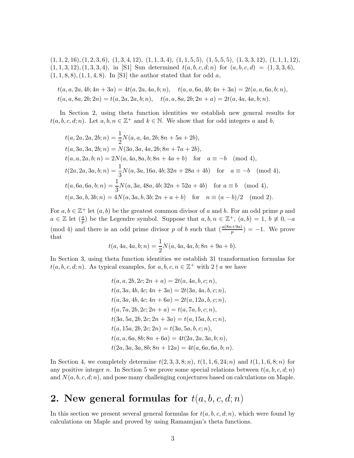$(1, 1, 2, 16), (1, 2, 3, 6), (1, 3, 4, 12), (1, 1, 3, 4), (1, 1, 5, 5), (1, 5, 5, 5), (1, 3, 3, 12), (1, 1, 1, 12),$  $(1, 1, 3, 12), (1, 3, 3, 4),$  in [S1] Sun determined  $t(a, b, c, d; n)$  for  $(a, b, c, d) = (1, 3, 3, 6),$  $(1, 1, 8, 8), (1, 1, 4, 8).$  In [S1] the author stated that for odd a,

$$
t(a, a, 2a, 4b; 4n + 3a) = 4t(a, 2a, 4a, b; n), \quad t(a, a, 6a, 4b; 4n + 3a) = 2t(a, a, 6a, b; n),
$$
  

$$
t(a, a, 8a, 2b; 2n) = t(a, 2a, 2a, b; n), \quad t(a, a, 8a, 2b; 2n + a) = 2t(a, 4a, 4a, b; n).
$$

In Section 2, using theta function identities we establish new general results for  $t(a, b, c, d; n)$ . Let  $a, b, n \in \mathbb{Z}^+$  and  $k \in \mathbb{N}$ . We show that for odd integers a and b,

$$
t(a, 2a, 2a, 2b; n) = \frac{1}{2}N(a, a, 4a, 2b; 8n + 5a + 2b),
$$
  
\n
$$
t(a, 3a, 3a, 2b; n) = N(3a, 3a, 4a, 2b; 8n + 7a + 2b),
$$
  
\n
$$
t(a, a, 2a, b; n) = 2N(a, 4a, 8a, b; 8n + 4a + b) \text{ for } a \equiv -b \pmod{4},
$$
  
\n
$$
t(2a, 2a, 3a, b; n) = \frac{1}{3}N(a, 3a, 16a, 4b; 32n + 28a + 4b) \text{ for } a \equiv -b \pmod{4},
$$
  
\n
$$
t(a, 6a, 6a, b; n) = \frac{1}{3}N(a, 3a, 48a, 4b; 32n + 52a + 4b) \text{ for } a \equiv b \pmod{4},
$$
  
\n
$$
t(a, 3a, b, 3b; n) = 4N(a, 3a, b, 3b; 2n + a + b) \text{ for } n \equiv (a - b)/2 \pmod{2}.
$$

For  $a, b \in \mathbb{Z}^+$  let  $(a, b)$  be the greatest common divisor of a and b. For an odd prime p and  $a \in \mathbb{Z}$  let  $(\frac{a}{p})$  be the Legendre symbol. Suppose that  $a, b, n \in \mathbb{Z}^+$ ,  $(a, b) = 1, b \neq 0, -a$ (mod 4) and there is an odd prime divisor p of b such that  $\left(\frac{a(8n+9a)}{p}\right) = -1$ . We prove that

$$
t(a, 4a, 4a, b; n) = \frac{1}{2}N(a, 4a, 4a, b; 8n + 9a + b).
$$

In Section 3, using theta function identities we establish 31 transformation formulas for  $t(a, b, c, d; n)$ . As typical examples, for  $a, b, c, n \in \mathbb{Z}^+$  with  $2 \nmid a$  we have

$$
t(a, a, 2b, 2c; 2n + a) = 2t(a, 4a, b, c; n),
$$
  
\n
$$
t(a, 3a, 4b, 4c; 4n + 3a) = 2t(3a, 4a, b, c; n),
$$
  
\n
$$
t(a, 3a, 4b, 4c; 4n + 6a) = 2t(a, 12a, b, c; n),
$$
  
\n
$$
t(a, 7a, 2b, 2c; 2n + a) = t(a, 7a, b, c; n),
$$
  
\n
$$
t(3a, 5a, 2b, 2c; 2n + 3a) = t(a, 15a, b, c; n),
$$
  
\n
$$
t(a, 15a, 2b, 2c; 2n) = t(3a, 5a, b, c; n),
$$
  
\n
$$
t(a, a, 6a, 8b; 8n + 6a) = 4t(2a, 2a, 3a, b; n),
$$
  
\n
$$
t(2a, 3a, 3a, 8b; 8n + 12a) = 4t(a, 6a, 6a, b; n).
$$

In Section 4, we completely determine  $t(2, 3, 3, 8; n)$ ,  $t(1, 1, 6, 24; n)$  and  $t(1, 1, 6, 8; n)$  for any positive integer n. In Section 5 we prove some special relations between  $t(a, b, c, d; n)$ and  $N(a, b, c, d; n)$ , and pose many challenging conjectures based on calculations on Maple.

## 2. New general formulas for  $t(a, b, c, d; n)$

In this section we present several general formulas for  $t(a, b, c, d; n)$ , which were found by calculations on Maple and proved by using Ramanujan's theta functions.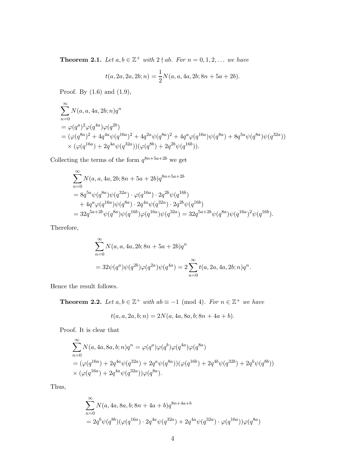**Theorem 2.1.** Let  $a, b \in \mathbb{Z}^+$  with  $2 \nmid ab$ . For  $n = 0, 1, 2, ...$  we have

$$
t(a, 2a, 2a, 2b; n) = \frac{1}{2}N(a, a, 4a, 2b; 8n + 5a + 2b).
$$

Proof. By (1.6) and (1.9),

$$
\sum_{n=0}^{\infty} N(a, a, 4a, 2b; n) q^n
$$
\n
$$
= \varphi(q^{a})^2 \varphi(q^{4a}) \varphi(q^{2b})
$$
\n
$$
= (\varphi(q^{8a})^2 + 4q^{4a} \psi(q^{16a})^2 + 4q^{2a} \psi(q^{8a})^2 + 4q^{a} \varphi(q^{16a}) \psi(q^{8a}) + 8q^{5a} \psi(q^{8a}) \psi(q^{32a}))
$$
\n
$$
\times (\varphi(q^{16a}) + 2q^{4a} \psi(q^{32a})) (\varphi(q^{8b}) + 2q^{2b} \psi(q^{16b})).
$$

Collecting the terms of the form  $q^{8n+5a+2b}$  we get

$$
\sum_{n=0}^{\infty} N(a, a, 4a, 2b; 8n + 5a + 2b)q^{8n+5a+2b}
$$
  
=  $8q^{5a}\psi(q^{8a})\psi(q^{32a}) \cdot \varphi(q^{16a}) \cdot 2q^{2b}\psi(q^{16b})$   
+  $4q^{a}\varphi(q^{16a})\psi(q^{8a}) \cdot 2q^{4a}\psi(q^{32a}) \cdot 2q^{2b}\psi(q^{16b})$   
=  $32q^{5a+2b}\psi(q^{8a})\psi(q^{16b})\varphi(q^{16a})\psi(q^{32a}) = 32q^{5a+2b}\psi(q^{8a})\psi(q^{16a})^2\psi(q^{16b}).$ 

Therefore,

$$
\sum_{n=0}^{\infty} N(a, a, 4a, 2b; 8n + 5a + 2b)q^{n}
$$
  
=  $32\psi(q^{a})\psi(q^{2b})\varphi(q^{2a})\psi(q^{4a}) = 2\sum_{n=0}^{\infty} t(a, 2a, 4a, 2b; n)q^{n}$ .

Hence the result follows.

**Theorem 2.2.** Let  $a, b \in \mathbb{Z}^+$  with  $ab \equiv -1 \pmod{4}$ . For  $n \in \mathbb{Z}^+$  we have

$$
t(a, a, 2a, b; n) = 2N(a, 4a, 8a, b; 8n + 4a + b).
$$

Proof. It is clear that

$$
\sum_{n=0}^{\infty} N(a, 4a, 8a, b; n)q^n = \varphi(q^a)\varphi(q^b)\varphi(q^{4a})\varphi(q^{8a})
$$
  
=  $(\varphi(q^{16a}) + 2q^{4a}\psi(q^{32a}) + 2q^a\psi(q^{8a}))(\varphi(q^{16b}) + 2q^{4b}\psi(q^{32b}) + 2q^b\psi(q^{8b}))$   
 $\times (\varphi(q^{16a}) + 2q^{4a}\psi(q^{32a}))\varphi(q^{8a}).$ 

Thus,

$$
\sum_{n=0}^{\infty} N(a, 4a, 8a, b; 8n + 4a + b)q^{8n + 4a + b}
$$
  
=  $2q^{b}\psi(q^{8b})(\varphi(q^{16a}) \cdot 2q^{4a}\psi(q^{32a}) + 2q^{4a}\psi(q^{32a}) \cdot \varphi(q^{16a}))\varphi(q^{8a})$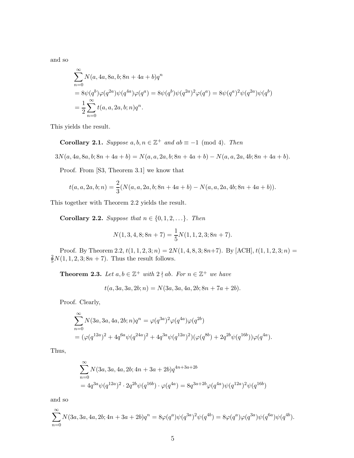and so

$$
\sum_{n=0}^{\infty} N(a, 4a, 8a, b; 8n + 4a + b)q^{n}
$$
  
=  $8\psi(q^{b})\varphi(q^{2a})\psi(q^{4a})\varphi(q^{a}) = 8\psi(q^{b})\psi(q^{2a})^{2}\varphi(q^{a}) = 8\psi(q^{a})^{2}\psi(q^{2a})\psi(q^{b})$   
=  $\frac{1}{2}\sum_{n=0}^{\infty} t(a, a, 2a, b; n)q^{n}$ .

This yields the result.

Corollary 2.1. Suppose  $a, b, n \in \mathbb{Z}^+$  and  $ab \equiv -1 \pmod{4}$ . Then

$$
3N(a, 4a, 8a, b; 8n + 4a + b) = N(a, a, 2a, b; 8n + 4a + b) - N(a, a, 2a, 4b; 8n + 4a + b).
$$

Proof. From [S3, Theorem 3.1] we know that

$$
t(a, a, 2a, b; n) = \frac{2}{3}(N(a, a, 2a, b; 8n + 4a + b) - N(a, a, 2a, 4b; 8n + 4a + b)).
$$

This together with Theorem 2.2 yields the result.

Corollary 2.2. Suppose that  $n \in \{0, 1, 2, \ldots\}$ . Then

$$
N(1,3,4,8;8n+7) = \frac{1}{5}N(1,1,2,3;8n+7).
$$

Proof. By Theorem 2.2,  $t(1, 1, 2, 3; n) = 2N(1, 4, 8, 3; 8n+7)$ . By [ACH],  $t(1, 1, 2, 3; n) =$  $\frac{2}{5}N(1, 1, 2, 3; 8n + 7)$ . Thus the result follows.

**Theorem 2.3.** Let  $a, b \in \mathbb{Z}^+$  with  $2 \nmid ab$ . For  $n \in \mathbb{Z}^+$  we have

$$
t(a, 3a, 3a, 2b; n) = N(3a, 3a, 4a, 2b; 8n + 7a + 2b).
$$

Proof. Clearly,

$$
\sum_{n=0}^{\infty} N(3a, 3a, 4a, 2b; n)q^{n} = \varphi(q^{3a})^{2} \varphi(q^{4a}) \varphi(q^{2b})
$$
  
=  $(\varphi(q^{12a})^{2} + 4q^{6a} \psi(q^{24a})^{2} + 4q^{3a} \psi(q^{12a})^{2}) (\varphi(q^{8b}) + 2q^{2b} \psi(q^{16b})) \varphi(q^{4a}).$ 

Thus,

$$
\sum_{n=0}^{\infty} N(3a, 3a, 4a, 2b; 4n + 3a + 2b)q^{4n+3a+2b}
$$
  
=  $4q^{3a}\psi(q^{12a})^2 \cdot 2q^{2b}\psi(q^{16b}) \cdot \varphi(q^{4a}) = 8q^{3a+2b}\varphi(q^{4a})\psi(q^{12a})^2\psi(q^{16b})$ 

and so

$$
\sum_{n=0}^{\infty} N(3a, 3a, 4a, 2b; 4n + 3a + 2b)q^{n} = 8\varphi(q^{a})\psi(q^{3a})^{2}\psi(q^{4b}) = 8\varphi(q^{a})\varphi(q^{3a})\psi(q^{6a})\psi(q^{4b}).
$$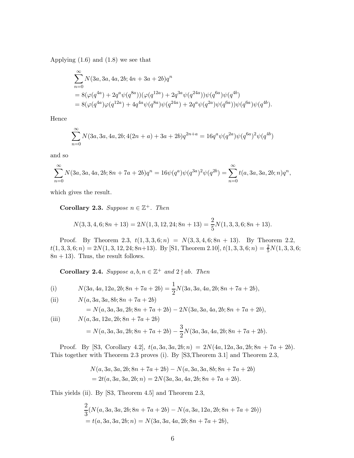Applying  $(1.6)$  and  $(1.8)$  we see that

$$
\begin{split} &\sum_{n=0}^{\infty} N(3a,3a,4a,2b;4n+3a+2b)q^n\\ &= 8(\varphi(q^{4a})+2q^{a}\psi(q^{8a}))(\varphi(q^{12a})+2q^{3a}\psi(q^{24a}))\psi(q^{6a})\psi(q^{4b})\\ &= 8(\varphi(q^{4a})\varphi(q^{12a})+4q^{4a}\psi(q^{8a})\psi(q^{24a})+2q^{a}\psi(q^{2a})\psi(q^{6a}))\psi(q^{6a})\psi(q^{4b}). \end{split}
$$

Hence

$$
\sum_{n=0}^{\infty} N(3a, 3a, 4a, 2b; 4(2n + a) + 3a + 2b)q^{2n + a} = 16q^{a}\psi(q^{2a})\psi(q^{6a})^{2}\psi(q^{4b})
$$

and so

$$
\sum_{n=0}^{\infty} N(3a, 3a, 4a, 2b; 8n + 7a + 2b)q^{n} = 16\psi(q^{a})\psi(q^{3a})^{2}\psi(q^{2b}) = \sum_{n=0}^{\infty} t(a, 3a, 3a, 2b; n)q^{n},
$$

which gives the result.

Corollary 2.3. Suppose  $n \in \mathbb{Z}^+$ . Then

$$
N(3,3,4,6;8n+13) = 2N(1,3,12,24;8n+13) = \frac{2}{5}N(1,3,3,6;8n+13).
$$

Proof. By Theorem 2.3,  $t(1,3,3,6;n) = N(3,3,4,6; 8n + 13)$ . By Theorem 2.2,  $t(1, 3, 3, 6; n) = 2N(1, 3, 12, 24; 8n+13)$ . By [S1, Theorem 2.10],  $t(1, 3, 3, 6; n) = \frac{2}{5}N(1, 3, 3, 6;$  $8n + 13$ . Thus, the result follows.

Corollary 2.4. Suppose  $a, b, n \in \mathbb{Z}^+$  and  $2 \nmid ab$ . Then

(i) 
$$
N(3a, 4a, 12a, 2b; 8n + 7a + 2b) = \frac{1}{2}N(3a, 3a, 4a, 2b; 8n + 7a + 2b),
$$

(ii) 
$$
N(a, 3a, 3a, 8b; 8n + 7a + 2b)
$$

$$
= N(a, 3a, 3a, 2b; 8n + 7a + 2b) - 2N(3a, 3a, 4a, 2b; 8n + 7a + 2b),
$$

(iii)  $N(a, 3a, 12a, 2b; 8n + 7a + 2b)$ 

$$
= N(a, 3a, 3a, 2b; 8n + 7a + 2b) - \frac{3}{2}N(3a, 3a, 4a, 2b; 8n + 7a + 2b).
$$

Proof. By [S3, Corollary 4.2],  $t(a, 3a, 3a, 2b; n) = 2N(4a, 12a, 3a, 2b; 8n + 7a + 2b)$ . This together with Theorem 2.3 proves (i). By [S3,Theorem 3.1] and Theorem 2.3,

$$
N(a, 3a, 3a, 2b; 8n + 7a + 2b) - N(a, 3a, 3a, 8b; 8n + 7a + 2b)
$$
  
=  $2t(a, 3a, 3a, 2b; n) = 2N(3a, 3a, 4a, 2b; 8n + 7a + 2b)$ .

This yields (ii). By [S3, Theorem 4.5] and Theorem 2.3,

$$
\frac{2}{3}(N(a,3a,3a,2b;8n+7a+2b)-N(a,3a,12a,2b;8n+7a+2b))
$$
  
=  $t(a,3a,3a,2b;n) = N(3a,3a,4a,2b;8n+7a+2b),$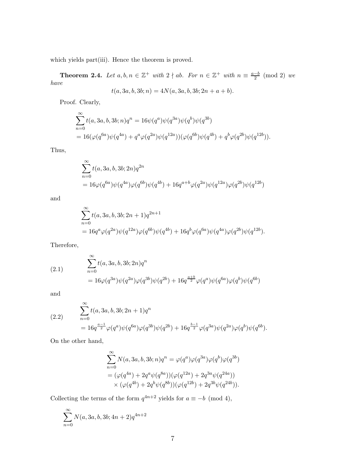which yields part(iii). Hence the theorem is proved.

**Theorem 2.4.** Let  $a, b, n \in \mathbb{Z}^+$  with  $2 \nmid ab$ . For  $n \in \mathbb{Z}^+$  with  $n \equiv \frac{a-b}{2}$  $\frac{-b}{2} \pmod{2}$  we have

$$
t(a, 3a, b, 3b; n) = 4N(a, 3a, b, 3b; 2n + a + b).
$$

Proof. Clearly,

$$
\sum_{n=0}^{\infty} t(a, 3a, b, 3b; n)q^n = 16\psi(q^a)\psi(q^{3a})\psi(q^b)\psi(q^{3b})
$$
  
=  $16(\varphi(q^{6a})\psi(q^{4a}) + q^a\varphi(q^{2a})\psi(q^{12a}))(\varphi(q^{6b})\psi(q^{4b}) + q^b\varphi(q^{2b})\psi(q^{12b})).$ 

Thus,

$$
\sum_{n=0}^{\infty} t(a, 3a, b, 3b; 2n)q^{2n}
$$
  
=  $16\varphi(q^{6a})\psi(q^{4a})\varphi(q^{6b})\psi(q^{4b}) + 16q^{a+b}\varphi(q^{2a})\psi(q^{12a})\varphi(q^{2b})\psi(q^{12b})$ 

and

$$
\begin{aligned} &\sum_{n=0}^{\infty} t(a,3a,b,3b;2n+1)q^{2n+1} \\ &= 16q^a \varphi(q^{2a}) \psi(q^{12a}) \varphi(q^{6b}) \psi(q^{4b}) + 16q^b \varphi(q^{6a}) \psi(q^{4a}) \varphi(q^{2b}) \psi(q^{12b}). \end{aligned}
$$

Therefore,

(2.1) 
$$
\sum_{n=0}^{\infty} t(a, 3a, b, 3b; 2n)q^n
$$

$$
= 16\varphi(q^{3a})\psi(q^{2a})\varphi(q^{3b})\psi(q^{2b}) + 16q^{\frac{a+b}{2}}\varphi(q^{a})\psi(q^{6a})\varphi(q^{b})\psi(q^{6b})
$$

and

(2.2) 
$$
\sum_{n=0}^{\infty} t(a, 3a, b, 3b; 2n + 1)q^{n}
$$

$$
= 16q^{\frac{a-1}{2}}\varphi(q^{a})\psi(q^{6a})\varphi(q^{3b})\psi(q^{2b}) + 16q^{\frac{b-1}{2}}\varphi(q^{3a})\psi(q^{2a})\varphi(q^{b})\psi(q^{6b}).
$$

On the other hand,

$$
\begin{split} &\sum_{n=0}^{\infty} N(a,3a,b,3b;n)q^n = \varphi(q^a)\varphi(q^{3a})\varphi(q^b)\varphi(q^{3b})\\ &= (\varphi(q^{4a})+2q^a\psi(q^{8a}))(\varphi(q^{12a})+2q^{3a}\psi(q^{24a}))\\ &\times (\varphi(q^{4b})+2q^b\psi(q^{8b}))(\varphi(q^{12b})+2q^{3b}\psi(q^{24b})). \end{split}
$$

Collecting the terms of the form  $q^{4n+2}$  yields for  $a \equiv -b \pmod{4}$ ,

$$
\sum_{n=0}^{\infty} N(a, 3a, b, 3b; 4n+2)q^{4n+2}
$$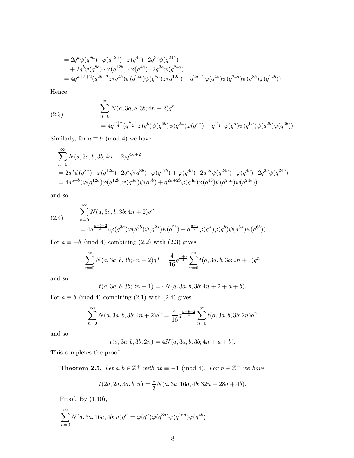$$
= 2q^{a}\psi(q^{8a}) \cdot \varphi(q^{12a}) \cdot \varphi(q^{4b}) \cdot 2q^{3b}\psi(q^{24b}) + 2q^{b}\psi(q^{8b}) \cdot \varphi(q^{12b}) \cdot \varphi(q^{4a}) \cdot 2q^{3a}\psi(q^{24a}) = 4q^{a+b+2}(q^{2b-2}\varphi(q^{4b})\psi(q^{24b})\psi(q^{8a})\varphi(q^{12a}) + q^{2a-2}\varphi(q^{4a})\psi(q^{24a})\psi(q^{8b})\varphi(q^{12b})).
$$

Hence

(2.3)  
\n
$$
\sum_{n=0}^{\infty} N(a, 3a, b, 3b; 4n + 2)q^n
$$
\n
$$
= 4q^{\frac{a+b}{4}}(q^{\frac{b-1}{2}}\varphi(q^b)\psi(q^{6b})\psi(q^{2a})\varphi(q^{3a}) + q^{\frac{a-1}{2}}\varphi(q^a)\psi(q^{6a})\psi(q^{2b})\varphi(q^{3b})).
$$

Similarly, for  $a \equiv b \pmod{4}$  we have

$$
\sum_{n=0}^{\infty} N(a, 3a, b, 3b; 4n + 2)q^{4n+2}
$$
\n
$$
= 2q^{a}\psi(q^{8a}) \cdot \varphi(q^{12a}) \cdot 2q^{b}\psi(q^{8b}) \cdot \varphi(q^{12b}) + \varphi(q^{4a}) \cdot 2q^{3a}\psi(q^{24a}) \cdot \varphi(q^{4b}) \cdot 2q^{3b}\psi(q^{24b})
$$
\n
$$
= 4q^{a+b}(\varphi(q^{12a})\varphi(q^{12b})\psi(q^{8a})\psi(q^{8b}) + q^{2a+2b}\varphi(q^{4a})\varphi(q^{4b})\psi(q^{24a})\psi(q^{24b}))
$$

and so

(2.4) 
$$
\sum_{n=0}^{\infty} N(a, 3a, b, 3b; 4n + 2)q^{n}
$$

$$
= 4q^{\frac{a+b-2}{4}} (\varphi(q^{3a})\varphi(q^{3b})\psi(q^{2a})\psi(q^{2b}) + q^{\frac{a+b}{2}}\varphi(q^{a})\varphi(q^{b})\psi(q^{6a})\psi(q^{6b})).
$$

For  $a \equiv -b \pmod{4}$  combining (2.2) with (2.3) gives

$$
\sum_{n=0}^{\infty} N(a, 3a, b, 3b; 4n + 2)q^{n} = \frac{4}{16} q^{\frac{a+b}{4}} \sum_{n=0}^{\infty} t(a, 3a, b, 3b; 2n + 1)q^{n}
$$

and so

$$
t(a,3a,b,3b;2n+1) = 4N(a,3a,b,3b;4n+2+a+b).
$$

For  $a \equiv b \pmod{4}$  combining (2.1) with (2.4) gives

$$
\sum_{n=0}^{\infty} N(a, 3a, b, 3b; 4n + 2)q^{n} = \frac{4}{16} q^{\frac{a+b-2}{4}} \sum_{n=0}^{\infty} t(a, 3a, b, 3b; 2n)q^{n}
$$

and so

$$
t(a, 3a, b, 3b; 2n) = 4N(a, 3a, b, 3b; 4n + a + b).
$$

This completes the proof.

**Theorem 2.5.** Let  $a, b \in \mathbb{Z}^+$  with  $ab \equiv -1 \pmod{4}$ . For  $n \in \mathbb{Z}^+$  we have

$$
t(2a, 2a, 3a, b; n) = \frac{1}{3}N(a, 3a, 16a, 4b; 32n + 28a + 4b).
$$

Proof. By (1.10),

$$
\sum_{n=0}^{\infty} N(a, 3a, 16a, 4b; n)q^n = \varphi(q^a)\varphi(q^{3a})\varphi(q^{16a})\varphi(q^{4b})
$$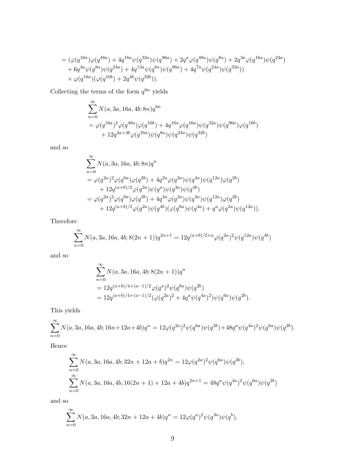$$
= (\varphi(q^{16a})\varphi(q^{48a}) + 4q^{16a}\psi(q^{32a})\psi(q^{96a}) + 2q^a\varphi(q^{48a})\psi(q^{8a}) + 2q^{3a}\varphi(q^{16a})\psi(q^{24a}) + 6q^{4a}\psi(q^{8a})\psi(q^{24a}) + 4q^{13a}\psi(q^{8a})\psi(q^{96a}) + 4q^{7a}\psi(q^{24a})\psi(q^{32a})) \times \varphi(q^{16a})(\varphi(q^{16b}) + 2q^{4b}\psi(q^{32b})).
$$

Collecting the terms of the form  $q^{8n}$  yields

$$
\sum_{n=0}^{\infty} N(a, 3a, 16a, 4b; 8n)q^{8n}
$$
  
=  $\varphi(q^{16a})^2 \varphi(q^{48a}) \varphi(q^{16b}) + 4q^{16a} \varphi(q^{16a}) \psi(q^{32a}) \psi(q^{96a}) \varphi(q^{16b})$   
+  $12q^{4a+4b} \varphi(q^{16a}) \psi(q^{8a}) \psi(q^{24a}) \psi(q^{32b})$ 

and so

$$
\begin{split} &\sum_{n=0}^{\infty} N(a,3a,16a,4b;8n)q^n\\ &=\varphi(q^{2a})^2\varphi(q^{6a})\varphi(q^{2b})+4q^{2a}\varphi(q^{2a})\psi(q^{4a})\psi(q^{12a})\varphi(q^{2b})\\ &+12q^{(a+b)/2}\varphi(q^{2a})\psi(q^{a})\psi(q^{3a})\psi(q^{4b})\\ &=\varphi(q^{2a})^2\varphi(q^{6a})\varphi(q^{2b})+4q^{2a}\varphi(q^{2a})\psi(q^{4a})\psi(q^{12a})\varphi(q^{2b})\\ &+12q^{(a+b)/2}\varphi(q^{2a})\psi(q^{4b})(\varphi(q^{6a})\psi(q^{4a})+q^{a}\varphi(q^{2a})\psi(q^{12a})). \end{split}
$$

Therefore

$$
\sum_{n=0}^{\infty} N(a, 3a, 16a, 4b; 8(2n+1))q^{2n+1} = 12q^{(a+b)/2+a} \varphi(q^{2a})^2 \psi(q^{12a}) \psi(q^{4b})
$$

and so

$$
\begin{split} &\sum_{n=0}^{\infty} N(a,3a,16a,4b;8(2n+1))q^n\\ &= 12q^{(a+b)/4+(a-1)/2}\varphi(q^a)^2\psi(q^{6a})\psi(q^{2b})\\ &= 12q^{(a+b)/4+(a-1)/2}(\varphi(q^{2a})^2+4q^a\psi(q^{4a})^2)\psi(q^{6a})\psi(q^{2b}). \end{split}
$$

This yields

$$
\sum_{n=0}^{\infty} N(a, 3a, 16a, 4b; 16n + 12a + 4b)q^{n} = 12\varphi(q^{2a})^{2}\psi(q^{6a})\psi(q^{2b}) + 48q^{a}\psi(q^{4a})^{2}\psi(q^{6a})\psi(q^{2b}).
$$

Hence

$$
\sum_{n=0}^{\infty} N(a, 3a, 16a, 4b; 32n + 12a + b)q^{2n} = 12\varphi(q^{2a})^2\psi(q^{6a})\psi(q^{2b}),
$$
  

$$
\sum_{n=0}^{\infty} N(a, 3a, 16a, 4b; 16(2n + 1) + 12a + 4b)q^{2n+1} = 48q^a\psi(q^{4a})^2\psi(q^{6a})\psi(q^{2b})
$$

and so

$$
\sum_{n=0}^{\infty} N(a, 3a, 16a, 4b; 32n + 12a + 4b)q^{n} = 12\varphi(q^{a})^{2}\psi(q^{3a})\psi(q^{b}),
$$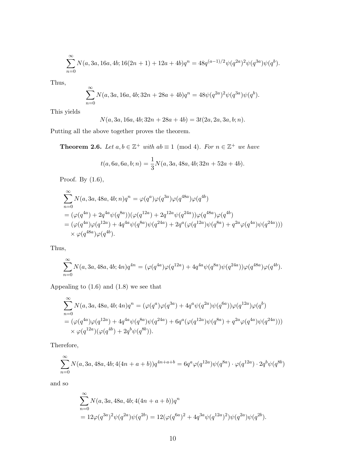$$
\sum_{n=0}^{\infty} N(a, 3a, 16a, 4b; 16(2n+1) + 12a + 4b)q^{n} = 48q^{(a-1)/2}\psi(q^{2a})^{2}\psi(q^{3a})\psi(q^{b}).
$$

Thus,

$$
\sum_{n=0}^{\infty} N(a, 3a, 16a, 4b; 32n + 28a + 4b)q^{n} = 48\psi(q^{2a})^{2}\psi(q^{3a})\psi(q^{b}).
$$

This yields

$$
N(a, 3a, 16a, 4b; 32n + 28a + 4b) = 3t(2a, 2a, 3a, b; n).
$$

Putting all the above together proves the theorem.

**Theorem 2.6.** Let  $a, b \in \mathbb{Z}^+$  with  $ab \equiv 1 \pmod{4}$ . For  $n \in \mathbb{Z}^+$  we have

$$
t(a, 6a, 6a, b; n) = \frac{1}{3}N(a, 3a, 48a, 4b; 32n + 52a + 4b).
$$

Proof. By (1.6),

$$
\sum_{n=0}^{\infty} N(a, 3a, 48a, 4b; n)q^{n} = \varphi(q^{a})\varphi(q^{3a})\varphi(q^{48a})\varphi(q^{4b})
$$
  
=  $(\varphi(q^{4a}) + 2q^{4a}\psi(q^{8a}))(\varphi(q^{12a}) + 2q^{12a}\psi(q^{24a}))\varphi(q^{48a})\varphi(q^{4b})$   
=  $(\varphi(q^{4a})\varphi(q^{12a}) + 4q^{4a}\psi(q^{8a})\psi(q^{24a}) + 2q^{a}(\varphi(q^{12a})\psi(q^{8a}) + q^{2a}\varphi(q^{4a})\psi(q^{24a})))$   
 $\times \varphi(q^{48a})\varphi(q^{4b}).$ 

Thus,

$$
\sum_{n=0}^{\infty} N(a, 3a, 48a, 4b; 4n)q^{4n} = (\varphi(q^{4a})\varphi(q^{12a}) + 4q^{4a}\psi(q^{8a})\psi(q^{24a}))\varphi(q^{48a})\varphi(q^{4b}).
$$

Appealing to (1.6) and (1.8) we see that

$$
\sum_{n=0}^{\infty} N(a, 3a, 48a, 4b; 4n)q^n = (\varphi(q^a)\varphi(q^{3a}) + 4q^a\psi(q^{2a})\psi(q^{6a}))\varphi(q^{12a})\varphi(q^b)
$$
  
=  $(\varphi(q^{4a})\varphi(q^{12a}) + 4q^{4a}\psi(q^{8a})\psi(q^{24a}) + 6q^a(\varphi(q^{12a})\psi(q^{8a}) + q^{2a}\varphi(q^{4a})\psi(q^{24a})))$   
 $\times \varphi(q^{12a})(\varphi(q^{4b}) + 2q^b\psi(q^{8b})).$ 

Therefore,

$$
\sum_{n=0}^{\infty} N(a, 3a, 48a, 4b; 4(4n + a + b))q^{4n + a + b} = 6q^{a}\varphi(q^{12a})\psi(q^{8a}) \cdot \varphi(q^{12a}) \cdot 2q^{b}\psi(q^{8b})
$$

and so

$$
\sum_{n=0}^{\infty} N(a, 3a, 48a, 4b; 4(4n + a + b))q^n
$$
  
=  $12\varphi(q^{3a})^2\psi(q^{2a})\psi(q^{2b}) = 12(\varphi(q^{6a})^2 + 4q^{3a}\psi(q^{12a})^2)\psi(q^{2a})\psi(q^{2b}).$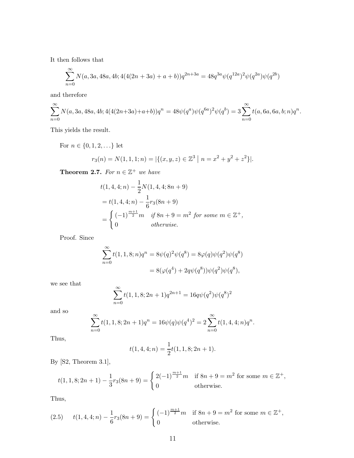It then follows that

$$
\sum_{n=0}^{\infty} N(a, 3a, 48a, 4b; 4(4(2n+3a) + a + b))q^{2n+3a} = 48q^{3a}\psi(q^{12a})^2\psi(q^{2a})\psi(q^{2b})
$$

and therefore

$$
\sum_{n=0}^{\infty} N(a, 3a, 48a, 4b; 4(4(2n+3a)+a+b))q^n = 48\psi(q^a)\psi(q^{6a})^2\psi(q^b) = 3\sum_{n=0}^{\infty} t(a, 6a, 6a, b; n)q^n.
$$

This yields the result.

For  $n \in \{0,1,2,\ldots\}$  let

$$
r_3(n) = N(1, 1, 1; n) = |\{(x, y, z) \in \mathbb{Z}^3 \mid n = x^2 + y^2 + z^2\}|.
$$

**Theorem 2.7.** For  $n \in \mathbb{Z}^+$  we have

$$
t(1,4,4;n) - \frac{1}{2}N(1,4,4;8n+9)
$$
  
=  $t(1,4,4;n) - \frac{1}{6}r_3(8n+9)$   
=  $\begin{cases} (-1)^{\frac{m+1}{2}}m & \text{if } 8n+9 = m^2 \text{ for some } m \in \mathbb{Z}^+, \\ 0 & \text{otherwise.} \end{cases}$ 

Proof. Since

$$
\sum_{n=0}^{\infty} t(1, 1, 8; n)q^{n} = 8\psi(q)^{2}\psi(q^{8}) = 8\varphi(q)\psi(q^{2})\psi(q^{8})
$$

$$
= 8(\varphi(q^{4}) + 2q\psi(q^{8}))\psi(q^{2})\psi(q^{8}),
$$

we see that

$$
\sum_{n=0}^{\infty} t(1, 1, 8; 2n + 1)q^{2n+1} = 16q\psi(q^2)\psi(q^8)^2
$$

and so

$$
\sum_{n=0}^{\infty} t(1, 1, 8; 2n + 1)q^{n} = 16\psi(q)\psi(q^{4})^{2} = 2\sum_{n=0}^{\infty} t(1, 4, 4; n)q^{n}.
$$

Thus,

$$
t(1,4,4;n) = \frac{1}{2}t(1,1,8;2n+1).
$$

By [S2, Theorem 3.1],

$$
t(1, 1, 8; 2n + 1) - \frac{1}{3}r_3(8n + 9) = \begin{cases} 2(-1)^{\frac{m+1}{2}}m & \text{if } 8n + 9 = m^2 \text{ for some } m \in \mathbb{Z}^+, \\ 0 & \text{otherwise.} \end{cases}
$$

Thus,

(2.5) 
$$
t(1,4,4;n) - \frac{1}{6}r_3(8n+9) = \begin{cases} (-1)^{\frac{m+1}{2}}m & \text{if } 8n+9 = m^2 \text{ for some } m \in \mathbb{Z}^+, \\ 0 & \text{otherwise.} \end{cases}
$$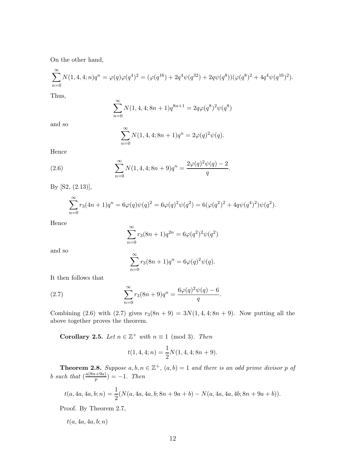On the other hand,

$$
\sum_{n=0}^{\infty} N(1,4,4;n)q^n = \varphi(q)\varphi(q^4)^2 = (\varphi(q^{16}) + 2q^4\psi(q^{32}) + 2q\psi(q^8))(\varphi(q^8)^2 + 4q^4\psi(q^{16})^2).
$$

Thus,

$$
\sum_{n=0}^{\infty} N(1, 4, 4; 8n + 1)q^{8n+1} = 2q\varphi(q^{8})^{2}\psi(q^{8})
$$

and so

$$
\sum_{n=0}^{\infty} N(1, 4, 4; 8n + 1)q^{n} = 2\varphi(q)^{2}\psi(q).
$$

Hence

(2.6) 
$$
\sum_{n=0}^{\infty} N(1, 4, 4; 8n + 9)q^{n} = \frac{2\varphi(q)^{2}\psi(q) - 2}{q}.
$$

By [S2, (2.13)],

$$
\sum_{n=0}^{\infty} r_3(4n+1)q^n = 6\varphi(q)\psi(q)^2 = 6\varphi(q)^2\psi(q^2) = 6(\varphi(q^2)^2 + 4q\psi(q^4)^2)\psi(q^2).
$$

Hence

$$
\sum_{n=0}^{\infty} r_3(8n+1)q^{2n} = 6\varphi(q^2)^2 \psi(q^2)
$$

and so

$$
\sum_{n=0}^{\infty} r_3(8n+1)q^n = 6\varphi(q)^2 \psi(q).
$$

It then follows that

(2.7) 
$$
\sum_{n=0}^{\infty} r_3(8n+9)q^n = \frac{6\varphi(q)^2\psi(q) - 6}{q}
$$

Combining (2.6) with (2.7) gives  $r_3(8n + 9) = 3N(1, 4, 4; 8n + 9)$ . Now putting all the above together proves the theorem.

.

**Corollary 2.5.** Let  $n \in \mathbb{Z}^+$  with  $n \equiv 1 \pmod{3}$ . Then

$$
t(1,4,4;n) = \frac{1}{2}N(1,4,4;8n+9).
$$

**Theorem 2.8.** Suppose  $a, b, n \in \mathbb{Z}^+$ ,  $(a, b) = 1$  and there is an odd prime divisor p of b such that  $\left(\frac{a(8n+9a)}{n}\right)$  $\binom{p}{p} = -1$ . Then

$$
t(a, 4a, 4a, b; n) = \frac{1}{2}(N(a, 4a, 4a, b; 8n + 9a + b) - N(a, 4a, 4a, 4b; 8n + 9a + b)).
$$

Proof. By Theorem 2.7,

 $t(a, 4a, 4a, b; n)$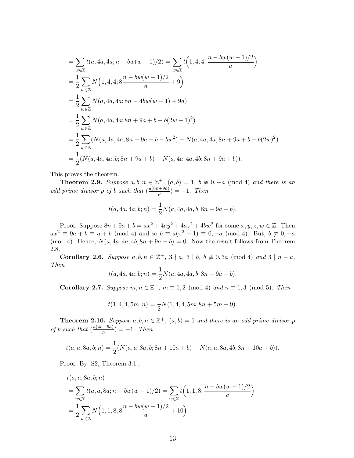$$
\begin{split}\n&= \sum_{w \in \mathbb{Z}} t(a, 4a, 4a; n - bw(w - 1)/2) = \sum_{w \in \mathbb{Z}} t\left(1, 4, 4; \frac{n - bw(w - 1)/2}{a}\right) \\
&= \frac{1}{2} \sum_{w \in \mathbb{Z}} N\left(1, 4, 4; 8 \frac{n - bw(w - 1)/2}{a} + 9\right) \\
&= \frac{1}{2} \sum_{w \in \mathbb{Z}} N(a, 4a, 4a; 8n - 4bw(w - 1) + 9a) \\
&= \frac{1}{2} \sum_{w \in \mathbb{Z}} N(a, 4a, 4a; 8n + 9a + b - b(2w - 1)^2) \\
&= \frac{1}{2} \sum_{w \in \mathbb{Z}} (N(a, 4a, 4a; 8n + 9a + b - bw^2) - N(a, 4a, 4a; 8n + 9a + b - b(2w)^2) \\
&= \frac{1}{2} (N(a, 4a, 4a, 6; 8n + 9a + b) - N(a, 4a, 4a, 4b; 8n + 9a + b)).\n\end{split}
$$

This proves the theorem.

**Theorem 2.9.** Suppose  $a, b, n \in \mathbb{Z}^+$ ,  $(a, b) = 1$ ,  $b \not\equiv 0, -a \pmod{4}$  and there is an odd prime divisor p of b such that  $\left(\frac{a(8n+9a)}{n}\right)$  $\binom{p}{p} = -1$ . Then

$$
t(a, 4a, 4a, b; n) = \frac{1}{2}N(a, 4a, 4a, b; 8n + 9a + b).
$$

Proof. Suppose  $8n + 9a + b = ax^2 + 4ay^2 + 4az^2 + 4bw^2$  for some  $x, y, z, w \in \mathbb{Z}$ . Then  $ax^2 \equiv 9a + b \equiv a + b \pmod{4}$  and so  $b \equiv a(x^2 - 1) \equiv 0, -a \pmod{4}$ . But,  $b \not\equiv 0, -a$ (mod 4). Hence,  $N(a, 4a, 4a, 4b; 8n + 9a + b) = 0$ . Now the result follows from Theorem 2.8.

Corollary 2.6. Suppose  $a, b, n \in \mathbb{Z}^+$ ,  $3 \nmid a, 3 \mid b, b \not\equiv 0, 3a \pmod{4}$  and  $3 \mid n - a$ . Then

$$
t(a, 4a, 4a, b; n) = \frac{1}{2}N(a, 4a, 4a, b; 8n + 9a + b).
$$

**Corollary 2.7.** Suppose  $m, n \in \mathbb{Z}^+$ ,  $m \equiv 1, 2 \pmod{4}$  and  $n \equiv 1, 3 \pmod{5}$ . Then

$$
t(1,4,4,5m;n) = \frac{1}{2}N(1,4,4,5m;8n+5m+9).
$$

**Theorem 2.10.** Suppose  $a, b, n \in \mathbb{Z}^+$ ,  $(a, b) = 1$  and there is an odd prime divisor p of b such that  $\left(\frac{a(4n+5a)}{n}\right)$  $\binom{p}{p} = -1$ . Then

$$
t(a, a, 8a, b; n) = \frac{1}{2}(N(a, a, 8a, b; 8n + 10a + b) - N(a, a, 8a, 4b; 8n + 10a + b)).
$$

Proof. By [S2, Theorem 3.1],

$$
t(a, a, 8a, b; n)
$$
  
=  $\sum_{w \in \mathbb{Z}} t(a, a, 8a; n - bw(w - 1)/2) = \sum_{w \in \mathbb{Z}} t(1, 1, 8; \frac{n - bw(w - 1)/2}{a})$   
=  $\frac{1}{2} \sum_{w \in \mathbb{Z}} N(1, 1, 8; 8 \frac{n - bw(w - 1)/2}{a} + 10)$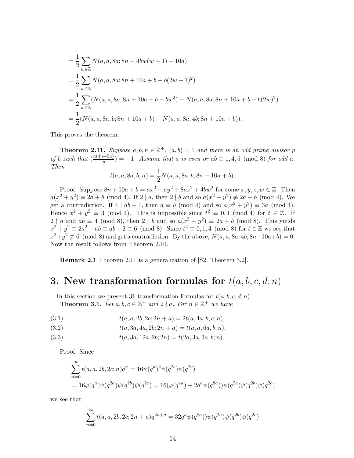$$
\begin{split}\n&= \frac{1}{2} \sum_{w \in \mathbb{Z}} N(a, a, 8a; 8n - 4bw(w - 1) + 10a) \\
&= \frac{1}{2} \sum_{w \in \mathbb{Z}} N(a, a, 8a; 8n + 10a + b - b(2w - 1)^2) \\
&= \frac{1}{2} \sum_{w \in \mathbb{Z}} (N(a, a, 8a; 8n + 10a + b - bw^2) - N(a, a, 8a; 8n + 10a + b - b(2w)^2) \\
&= \frac{1}{2} (N(a, a, 8a, b; 8n + 10a + b) - N(a, a, 8a, 4b; 8n + 10a + b)).\n\end{split}
$$

This proves the theorem.

**Theorem 2.11.** Suppose  $a, b, n \in \mathbb{Z}^+$ ,  $(a, b) = 1$  and there is an odd prime divisor p of b such that  $\left(\frac{a(4n+5a)}{n}\right)$  $(p_p^{(+)}) = -1.$  Assume that a is even or ab  $\equiv 1, 4, 5 \pmod{8}$  for odd a. Then

$$
t(a, a, 8a, b; n) = \frac{1}{2}N(a, a, 8a, b; 8n + 10a + b).
$$

Proof. Suppose  $8n + 10a + b = ax^2 + ay^2 + 8az^2 + 4bw^2$  for some  $x, y, z, w \in \mathbb{Z}$ . Then  $a(x^2 + y^2) \equiv 2a + b \pmod{4}$ . If  $2 | a$ , then  $2 \nmid b$  and so  $a(x^2 + y^2) \not\equiv 2a + b \pmod{4}$ . We get a contradiction. If  $4 | ab - 1$ , then  $a \equiv b \pmod{4}$  and so  $a(x^2 + y^2) \equiv 3a \pmod{4}$ . Hence  $x^2 + y^2 \equiv 3 \pmod{4}$ . This is impossible since  $t^2 \equiv 0, 1 \pmod{4}$  for  $t \in \mathbb{Z}$ . If  $2 \nmid a$  and  $ab \equiv 4 \pmod{8}$ , then  $2 \mid b$  and so  $a(x^2 + y^2) \equiv 2a + b \pmod{8}$ . This yields  $x^2 + y^2 \equiv 2a^2 + ab \equiv ab + 2 \equiv 6 \pmod{8}$ . Since  $t^2 \equiv 0, 1, 4 \pmod{8}$  for  $t \in \mathbb{Z}$  we see that  $x^2+y^2 \not\equiv 6 \pmod{8}$  and get a contradiction. By the above,  $N(a, a, 8a, 4b; 8n+10a+b) = 0$ . Now the result follows from Theorem 2.10.

Remark 2.1 Theorem 2.11 is a generalization of [S2, Theorem 3.2].

# 3. New transformation formulas for  $t(a, b, c, d; n)$

In this section we present 31 transformation formulas for  $t(a, b, c, d; n)$ . **Theorem 3.1.** Let  $a, b, c \in \mathbb{Z}^+$  and  $2 \nmid a$ . For  $n \in \mathbb{Z}^+$  we have

(3.1) 
$$
t(a, a, 2b, 2c; 2n + a) = 2t(a, 4a, b, c; n),
$$

(3.2) 
$$
t(a, 3a, 4a, 2b; 2n + a) = t(a, a, 6a, b; n),
$$

(3.3) 
$$
t(a, 3a, 12a, 2b; 2n) = t(2a, 3a, 3a, b; n).
$$

Proof. Since

$$
\sum_{n=0}^{\infty} t(a, a, 2b, 2c; n)q^n = 16\psi(q^{a})^2\psi(q^{2b})\psi(q^{2c})
$$
  
=  $16\varphi(q^{a})\psi(q^{2a})\psi(q^{2b})\psi(q^{2c}) = 16(\varphi(q^{4a}) + 2q^{a}\psi(q^{8a}))\psi(q^{2a})\psi(q^{2b})\psi(q^{2c})$ 

we see that

$$
\sum_{n=0}^{\infty} t(a, a, 2b, 2c; 2n+a)q^{2n+a} = 32q^{a}\psi(q^{8a}))\psi(q^{2a})\psi(q^{2b})\psi(q^{2c})
$$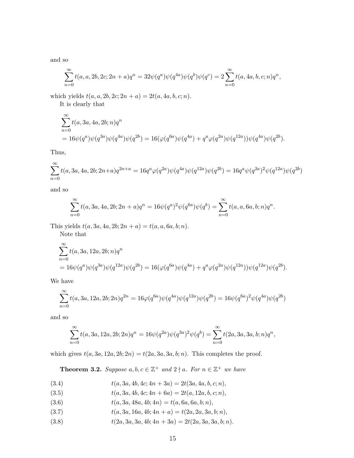and so

$$
\sum_{n=0}^{\infty} t(a, a, 2b, 2c; 2n + a)q^{n} = 32\psi(q^{a})\psi(q^{4a})\psi(q^{b})\psi(q^{c}) = 2\sum_{n=0}^{\infty} t(a, 4a, b, c; n)q^{n},
$$

which yields  $t(a, a, 2b, 2c; 2n + a) = 2t(a, 4a, b, c; n)$ .

It is clearly that

$$
\sum_{n=0}^{\infty} t(a, 3a, 4a, 2b; n)q^n
$$
  
=  $16\psi(q^a)\psi(q^{3a})\psi(q^{4a})\psi(q^{2b}) = 16(\varphi(q^{6a})\psi(q^{4a}) + q^a\varphi(q^{2a})\psi(q^{12a}))\psi(q^{4a})\psi(q^{2b}).$ 

Thus,

$$
\sum_{n=0}^{\infty} t(a, 3a, 4a, 2b; 2n+a)q^{2n+a} = 16q^a \varphi(q^{2a}) \psi(q^{4a}) \psi(q^{12a}) \psi(q^{2b}) = 16q^a \psi(q^{2a})^2 \psi(q^{12a}) \psi(q^{2b})
$$

and so

$$
\sum_{n=0}^{\infty} t(a, 3a, 4a, 2b; 2n + a)q^{n} = 16\psi(q^{a})^{2}\psi(q^{6a})\psi(q^{b}) = \sum_{n=0}^{\infty} t(a, a, 6a, b; n)q^{n}
$$

.

This yields  $t(a, 3a, 4a, 2b; 2n + a) = t(a, a, 6a, b; n)$ .

Note that

$$
\sum_{n=0}^{\infty} t(a, 3a, 12a, 2b; n)q^n
$$
  
=  $16\psi(q^a)\psi(q^{3a})\psi(q^{12a})\psi(q^{2b}) = 16(\varphi(q^{6a})\psi(q^{4a}) + q^a\varphi(q^{2a})\psi(q^{12a}))\psi(q^{12a})\psi(q^{2b}).$ 

We have

$$
\sum_{n=0}^{\infty} t(a, 3a, 12a, 2b; 2n)q^{2n} = 16\varphi(q^{6a})\psi(q^{4a})\psi(q^{12a})\psi(q^{2b}) = 16\psi(q^{6a})^2\psi(q^{4a})\psi(q^{2b})
$$

and so

$$
\sum_{n=0}^{\infty} t(a, 3a, 12a, 2b; 2n)q^n = 16\psi(q^{2a})\psi(q^{3a})^2\psi(q^b) = \sum_{n=0}^{\infty} t(2a, 3a, 3a, b; n)q^n,
$$

which gives  $t(a, 3a, 12a, 2b; 2n) = t(2a, 3a, 3a, b; n)$ . This completes the proof.

**Theorem 3.2.** Suppose  $a, b, c \in \mathbb{Z}^+$  and  $2 \nmid a$ . For  $n \in \mathbb{Z}^+$  we have

- (3.4)  $t(a, 3a, 4b, 4c; 4n + 3a) = 2t(3a, 4a, b, c; n),$
- (3.5)  $t(a, 3a, 4b, 4c; 4n + 6a) = 2t(a, 12a, b, c; n),$
- (3.6)  $t(a, 3a, 48a, 4b; 4n) = t(a, 6a, 6a, b; n),$
- (3.7)  $t(a, 3a, 16a, 4b; 4n + a) = t(2a, 2a, 3a, b; n),$
- (3.8)  $t(2a, 3a, 3a, 4b; 4n + 3a) = 2t(2a, 3a, 3a, b; n).$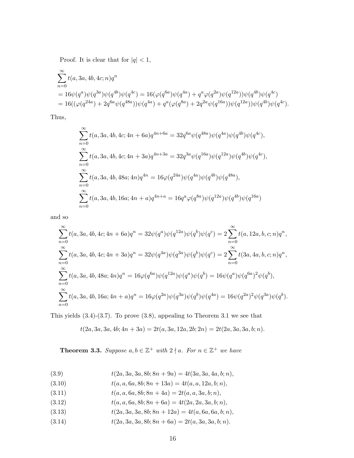Proof. It is clear that for  $|q|$  < 1,

$$
\begin{split} &\sum_{n=0}^{\infty} t(a,3a,4b,4c;n)q^n\\ &= 16\psi(q^a)\psi(q^{3a})\psi(q^{4b})\psi(q^{4c}) = 16(\varphi(q^{6a})\psi(q^{4a}) + q^a\varphi(q^{2a})\psi(q^{12a}))\psi(q^{4b})\psi(q^{4c})\\ &= 16((\varphi(q^{24a}) + 2q^{6a}\psi(q^{48a}))\psi(q^{4a}) + q^a(\varphi(q^{8a}) + 2q^{2a}\psi(q^{16a}))\psi(q^{12a}))\psi(q^{4b})\psi(q^{4c}). \end{split}
$$

Thus,

$$
\sum_{n=0}^{\infty} t(a, 3a, 4b, 4c; 4n + 6a)q^{4n+6a} = 32q^{6a}\psi(q^{48a})\psi(q^{4a})\psi(q^{4b})\psi(q^{4c}),
$$
  

$$
\sum_{n=0}^{\infty} t(a, 3a, 4b, 4c; 4n + 3a)q^{4n+3a} = 32q^{3a}\psi(q^{16a})\psi(q^{12a})\psi(q^{4b})\psi(q^{4c}),
$$
  

$$
\sum_{n=0}^{\infty} t(a, 3a, 4b, 48a; 4n)q^{4n} = 16\varphi(q^{24a})\psi(q^{4a})\psi(q^{4b})\psi(q^{48a}),
$$
  

$$
\sum_{n=0}^{\infty} t(a, 3a, 4b, 16a; 4n + a)q^{4n+a} = 16q^{a}\varphi(q^{8a})\psi(q^{12a})\psi(q^{4b})\psi(q^{16a})
$$

and so

$$
\sum_{n=0}^{\infty} t(a, 3a, 4b, 4c; 4n + 6a)q^{n} = 32\psi(q^{a})\psi(q^{12a})\psi(q^{b})\psi(q^{c}) = 2\sum_{n=0}^{\infty} t(a, 12a, b, c; n)q^{n},
$$
  

$$
\sum_{n=0}^{\infty} t(a, 3a, 4b, 4c; 4n + 3a)q^{n} = 32\psi(q^{4a})\psi(q^{3a})\psi(q^{b})\psi(q^{c}) = 2\sum_{n=0}^{\infty} t(3a, 4a, b, c; n)q^{n},
$$
  

$$
\sum_{n=0}^{\infty} t(a, 3a, 4b, 48a; 4n)q^{n} = 16\varphi(q^{6a})\psi(q^{12a})\psi(q^{a})\psi(q^{b}) = 16\psi(q^{a})\psi(q^{6a})^{2}\psi(q^{b}),
$$
  

$$
\sum_{n=0}^{\infty} t(a, 3a, 4b, 16a; 4n + a)q^{n} = 16\varphi(q^{2a})\psi(q^{3a})\psi(q^{b})\psi(q^{4a}) = 16\psi(q^{2a})^{2}\psi(q^{3a})\psi(q^{b}).
$$

This yields (3.4)-(3.7). To prove (3.8), appealing to Theorem 3.1 we see that

$$
t(2a,3a,3a,4b;4n+3a) = 2t(a,3a,12a,2b;2n) = 2t(2a,3a,3a,b;n).
$$

**Theorem 3.3.** Suppose  $a, b \in \mathbb{Z}^+$  with  $2 \nmid a$ . For  $n \in \mathbb{Z}^+$  we have

(3.9) 
$$
t(2a, 3a, 3a, 8b; 8n + 9a) = 4t(3a, 3a, 4a, b; n),
$$

- (3.10)  $t(a, a, 6a, 8b; 8n + 13a) = 4t(a, a, 12a, b; n),$
- (3.11)  $t(a, a, 6a, 8b; 8n + 4a) = 2t(a, a, 3a, b; n),$
- (3.12)  $t(a, a, 6a, 8b; 8n + 6a) = 4t(2a, 2a, 3a, b; n),$
- (3.13)  $t(2a, 3a, 3a, 8b; 8n + 12a) = 4t(a, 6a, 6a, b; n),$
- (3.14)  $t(2a, 3a, 3a, 8b; 8n + 6a) = 2t(a, 3a, 3a, b; n).$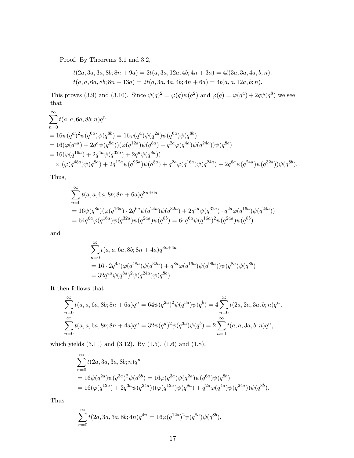Proof. By Theorems 3.1 and 3.2,

$$
t(2a,3a,3a,8b;8n+9a) = 2t(a,3a,12a,4b;4n+3a) = 4t(3a,3a,4a,b;n),
$$
  

$$
t(a,a,6a,8b;8n+13a) = 2t(a,3a,4a,4b;4n+6a) = 4t(a,a,12a,b;n).
$$

This proves (3.9) and (3.10). Since  $\psi(q)^2 = \varphi(q)\psi(q^2)$  and  $\varphi(q) = \varphi(q^4) + 2q\psi(q^8)$  we see that

$$
\sum_{n=0}^{\infty} t(a, a, 6a, 8b; n)q^n
$$
\n= 16 $\psi(q^a)^2 \psi(q^{6a}) \psi(q^{8b}) = 16\varphi(q^a) \psi(q^{2a}) \psi(q^{6a}) \psi(q^{8b})$   
\n= 16 $(\varphi(q^{4a}) + 2q^a \psi(q^{8a})) (\varphi(q^{12a}) \psi(q^{8a}) + q^{2a} \varphi(q^{4a}) \psi(q^{24a})) \psi(q^{8b})$   
\n= 16 $(\varphi(q^{16a}) + 2q^{4a} \psi(q^{32a}) + 2q^{a} \psi(q^{8a}))$   
\n $\times (\varphi(q^{48a}) \psi(q^{8a}) + 2q^{12a} \psi(q^{96a}) \psi(q^{8a}) + q^{2a} \varphi(q^{16a}) \psi(q^{24a}) + 2q^{6a} \psi(q^{24a}) \psi(q^{32a})) \psi(q^{8b}).$ 

Thus,

$$
\sum_{n=0}^{\infty} t(a, a, 6a, 8b; 8n + 6a)q^{8n+6a}
$$
\n
$$
= 16\psi(q^{8b})(\varphi(q^{16a}) \cdot 2q^{6a}\psi(q^{24a})\psi(q^{32a}) + 2q^{4a}\psi(q^{32a}) \cdot q^{2a}\varphi(q^{16a})\psi(q^{24a}))
$$
\n
$$
= 64q^{6a}\varphi(q^{16a})\psi(q^{32a})\psi(q^{24a})\psi(q^{8b}) = 64q^{6a}\psi(q^{16a})^2\psi(q^{24a})\psi(q^{8b})
$$

and

$$
\sum_{n=0}^{\infty} t(a, a, 6a, 8b; 8n + 4a)q^{8n+4a}
$$
  
= 16 \cdot 2q^{4a} (\varphi(q^{48a}) \psi(q^{32a}) + q^{8a} \varphi(q^{16a}) \psi(q^{96a})) \psi(q^{8a}) \psi(q^{8b})  
= 32q^{4a} \psi(q^{8a})^2 \psi(q^{24a}) \psi(q^{8b}).

It then follows that

$$
\sum_{n=0}^{\infty} t(a, a, 6a, 8b; 8n + 6a)q^{n} = 64\psi(q^{2a})^{2}\psi(q^{3a})\psi(q^{b}) = 4\sum_{n=0}^{\infty} t(2a, 2a, 3a, b; n)q^{n},
$$
  

$$
\sum_{n=0}^{\infty} t(a, a, 6a, 8b; 8n + 4a)q^{n} = 32\psi(q^{a})^{2}\psi(q^{3a})\psi(q^{b}) = 2\sum_{n=0}^{\infty} t(a, a, 3a, b; n)q^{n},
$$

which yields (3.11) and (3.12). By (1.5), (1.6) and (1.8),

$$
\sum_{n=0}^{\infty} t(2a, 3a, 3a, 8b; n)q^{n}
$$
  
=  $16\psi(q^{2a})\psi(q^{3a})^{2}\psi(q^{8b}) = 16\varphi(q^{3a})\psi(q^{2a})\psi(q^{6a})\psi(q^{8b})$   
=  $16(\varphi(q^{12a}) + 2q^{3a}\psi(q^{24a}))(\varphi(q^{12a})\psi(q^{8a}) + q^{2a}\varphi(q^{4a})\psi(q^{24a}))\psi(q^{8b}).$ 

Thus

$$
\sum_{n=0}^{\infty} t(2a, 3a, 3a, 8b; 4n)q^{4n} = 16\varphi(q^{12a})^2\psi(q^{8a})\psi(q^{8b}),
$$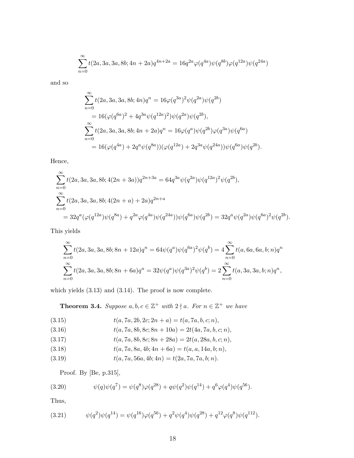$$
\sum_{n=0}^{\infty} t(2a, 3a, 3a, 8b; 4n + 2a)q^{4n+2a} = 16q^{2a}\varphi(q^{4a})\psi(q^{8b})\varphi(q^{12a})\psi(q^{24a})
$$

and so

$$
\sum_{n=0}^{\infty} t(2a, 3a, 3a, 8b; 4n)q^{n} = 16\varphi(q^{3a})^{2}\psi(q^{2a})\psi(q^{2b})
$$
  
=  $16(\varphi(q^{6a})^{2} + 4q^{3a}\psi(q^{12a})^{2})\psi(q^{2a})\psi(q^{2b}),$   

$$
\sum_{n=0}^{\infty} t(2a, 3a, 3a, 8b; 4n + 2a)q^{n} = 16\varphi(q^{a})\psi(q^{2b})\varphi(q^{3a})\psi(q^{6a})
$$
  
=  $16(\varphi(q^{4a}) + 2q^{a}\psi(q^{8a}))(\varphi(q^{12a}) + 2q^{3a}\psi(q^{24a}))\psi(q^{6a})\psi(q^{2b}).$ 

Hence,

$$
\sum_{n=0}^{\infty} t(2a, 3a, 3a, 8b; 4(2n+3a))q^{2n+3a} = 64q^{3a}\psi(q^{2a})\psi(q^{12a})^2\psi(q^{2b}),
$$
\n
$$
\sum_{n=0}^{\infty} t(2a, 3a, 3a, 8b; 4(2n+a) + 2a)q^{2n+a}
$$
\n
$$
= 32q^a(\varphi(q^{12a})\psi(q^{8a}) + q^{2a}\varphi(q^{4a})\psi(q^{24a}))\psi(q^{6a})\psi(q^{2b}) = 32q^a\psi(q^{2a})\psi(q^{6a})^2\psi(q^{2b}).
$$

This yields

$$
\sum_{n=0}^{\infty} t(2a, 3a, 3a, 8b; 8n + 12a)q^{n} = 64\psi(q^{a})\psi(q^{6a})^{2}\psi(q^{b}) = 4\sum_{n=0}^{\infty} t(a, 6a, 6a, b; n)q^{n}
$$
  

$$
\sum_{n=0}^{\infty} t(2a, 3a, 3a, 8b; 8n + 6a)q^{n} = 32\psi(q^{a})\psi(q^{3a})^{2}\psi(q^{b}) = 2\sum_{n=0}^{\infty} t(a, 3a, 3a, b; n)q^{n},
$$

which yields (3.13) and (3.14). The proof is now complete.

**Theorem 3.4.** Suppose  $a, b, c \in \mathbb{Z}^+$  with  $2 \nmid a$ . For  $n \in \mathbb{Z}^+$  we have

(3.15) 
$$
t(a, 7a, 2b, 2c; 2n + a) = t(a, 7a, b, c; n),
$$

(3.16) 
$$
t(a, 7a, 8b, 8c; 8n + 10a) = 2t(4a, 7a, b, c; n),
$$

(3.17) 
$$
t(a, 7a, 8b, 8c; 8n + 28a) = 2t(a, 28a, b, c; n),
$$

(3.18) 
$$
t(a, 7a, 8a, 4b; 4n + 6a) = t(a, a, 14a, b; n),
$$

(3.19) 
$$
t(a, 7a, 56a, 4b; 4n) = t(2a, 7a, 7a, b; n).
$$

Proof. By [Be, p.315],

(3.20) 
$$
\psi(q)\psi(q^7) = \psi(q^8)\varphi(q^{28}) + q\psi(q^2)\psi(q^{14}) + q^6\varphi(q^4)\psi(q^{56}).
$$

Thus,

(3.21) 
$$
\psi(q^2)\psi(q^{14}) = \psi(q^{16})\varphi(q^{56}) + q^2\psi(q^4)\psi(q^{28}) + q^{12}\varphi(q^8)\psi(q^{112}).
$$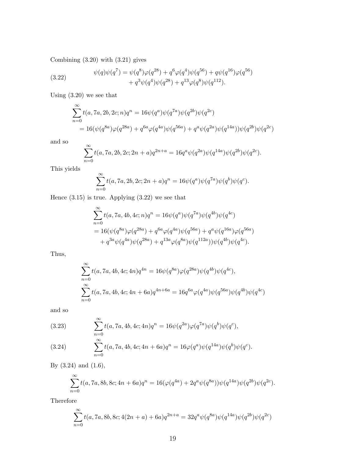Combining (3.20) with (3.21) gives

(3.22) 
$$
\psi(q)\psi(q^7) = \psi(q^8)\varphi(q^{28}) + q^6\varphi(q^4)\psi(q^{56}) + q\psi(q^{16})\varphi(q^{56}) + q^3\psi(q^4)\psi(q^{28}) + q^{13}\varphi(q^8)\psi(q^{112}).
$$

Using (3.20) we see that

$$
\sum_{n=0}^{\infty} t(a, 7a, 2b, 2c; n)q^{n} = 16\psi(q^{a})\psi(q^{7a})\psi(q^{2b})\psi(q^{2c})
$$
  
= 
$$
16(\psi(q^{8a})\varphi(q^{28a}) + q^{6a}\varphi(q^{4a})\psi(q^{56a}) + q^{a}\psi(q^{2a})\psi(q^{14a}))\psi(q^{2b})\psi(q^{2c})
$$

and so

$$
\sum_{n=0}^{\infty} t(a, 7a, 2b, 2c; 2n+a)q^{2n+a} = 16q^a \psi(q^{2a}) \psi(q^{14a}) \psi(q^{2b}) \psi(q^{2c}).
$$

This yields

$$
\sum_{n=0}^{\infty} t(a, 7a, 2b, 2c; 2n + a)q^{n} = 16\psi(q^{a})\psi(q^{7a})\psi(q^{b})\psi(q^{c}).
$$

Hence (3.15) is true. Applying (3.22) we see that

$$
\sum_{n=0}^{\infty} t(a, 7a, 4b, 4c; n)q^{n} = 16\psi(q^{a})\psi(q^{7a})\psi(q^{4b})\psi(q^{4c})
$$
  
= 16 $(\psi(q^{8a})\varphi(q^{28a}) + q^{6a}\varphi(q^{4a})\psi(q^{56a}) + q^{a}\psi(q^{16a})\varphi(q^{56a})$   
+  $q^{3a}\psi(q^{4a})\psi(q^{28a}) + q^{13a}\varphi(q^{8a})\psi(q^{112a}))\psi(q^{4b})\psi(q^{4c}).$ 

Thus,

$$
\sum_{n=0}^{\infty} t(a, 7a, 4b, 4c; 4n)q^{4n} = 16\psi(q^{8a})\varphi(q^{28a})\psi(q^{4b})\psi(q^{4c}),
$$
  

$$
\sum_{n=0}^{\infty} t(a, 7a, 4b, 4c; 4n + 6a)q^{4n+6a} = 16q^{6a}\varphi(q^{4a})\psi(q^{56a})\psi(q^{4b})\psi(q^{4c})
$$

and so

(3.23)  
\n
$$
\sum_{n=0}^{\infty} t(a, 7a, 4b, 4c; 4n)q^n = 16\psi(q^{2a})\varphi(q^{7a})\psi(q^b)\psi(q^c),
$$
\n
$$
\sum_{n=0}^{\infty} t(a, 7a, 4b, 4c; 4n + 6a)q^n = 16\varphi(q^a)\psi(q^{14a})\psi(q^b)\psi(q^c).
$$

By (3.24) and (1.6),

$$
\sum_{n=0}^{\infty} t(a, 7a, 8b, 8c; 4n + 6a)q^{n} = 16(\varphi(q^{4a}) + 2q^{a}\psi(q^{8a}))\psi(q^{14a})\psi(q^{2b})\psi(q^{2c}).
$$

Therefore

$$
\sum_{n=0}^{\infty} t(a, 7a, 8b, 8c; 4(2n+a) + 6a)q^{2n+a} = 32q^{a}\psi(q^{8a})\psi(q^{14a})\psi(q^{2b})\psi(q^{2c})
$$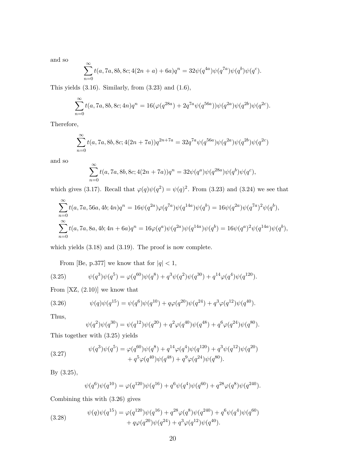and so

$$
\sum_{n=0}^{\infty} t(a, 7a, 8b, 8c; 4(2n+a) + 6a)q^{n} = 32\psi(q^{4a})\psi(q^{7a})\psi(q^{b})\psi(q^{c}).
$$

This yields  $(3.16)$ . Similarly, from  $(3.23)$  and  $(1.6)$ ,

$$
\sum_{n=0}^{\infty} t(a, 7a, 8b, 8c; 4n)q^{n} = 16(\varphi(q^{28a}) + 2q^{7a}\psi(q^{56a}))\psi(q^{2a})\psi(q^{2b})\psi(q^{2c}).
$$

Therefore,

$$
\sum_{n=0}^{\infty} t(a, 7a, 8b, 8c; 4(2n + 7a))q^{2n + 7a} = 32q^{7a}\psi(q^{56a})\psi(q^{2a})\psi(q^{2b})\psi(q^{2c})
$$

and so

$$
\sum_{n=0}^{\infty} t(a, 7a, 8b, 8c; 4(2n + 7a))q^n = 32\psi(q^a)\psi(q^{28a})\psi(q^b)\psi(q^c),
$$

which gives (3.17). Recall that  $\varphi(q)\psi(q^2) = \psi(q)^2$ . From (3.23) and (3.24) we see that

$$
\sum_{n=0}^{\infty} t(a, 7a, 56a, 4b; 4n)q^n = 16\psi(q^{2a})\varphi(q^{7a})\psi(q^{14a})\psi(q^b) = 16\psi(q^{2a})\psi(q^{7a})^2\psi(q^b),
$$
  

$$
\sum_{n=0}^{\infty} t(a, 7a, 8a, 4b; 4n + 6a)q^n = 16\varphi(q^a)\psi(q^{2a})\psi(q^{14a})\psi(q^b) = 16\psi(q^a)^2\psi(q^{14a})\psi(q^b),
$$

which yields (3.18) and (3.19). The proof is now complete.

From [Be, p.377] we know that for  $\vert q \vert < 1,$ 

(3.25) 
$$
\psi(q^3)\psi(q^5) = \varphi(q^{60})\psi(q^8) + q^3\psi(q^2)\psi(q^{30}) + q^{14}\varphi(q^4)\psi(q^{120}).
$$

From  $[XZ, (2.10)]$  we know that

(3.26) 
$$
\psi(q)\psi(q^{15}) = \psi(q^6)\psi(q^{10}) + q\varphi(q^{20})\psi(q^{24}) + q^3\varphi(q^{12})\psi(q^{40}).
$$

Thus,

$$
\psi(q^2)\psi(q^{30}) = \psi(q^{12})\psi(q^{20}) + q^2\varphi(q^{40})\psi(q^{48}) + q^6\varphi(q^{24})\psi(q^{80}).
$$

This together with (3.25) yields

(3.27) 
$$
\psi(q^3)\psi(q^5) = \varphi(q^{60})\psi(q^8) + q^{14}\varphi(q^4)\psi(q^{120}) + q^3\psi(q^{12})\psi(q^{20}) + q^5\varphi(q^{40})\psi(q^{48}) + q^9\varphi(q^{24})\psi(q^{80}).
$$

By (3.25),

$$
\psi(q^{6})\psi(q^{10}) = \varphi(q^{120})\psi(q^{16}) + q^{6}\psi(q^{4})\psi(q^{60}) + q^{28}\varphi(q^{8})\psi(q^{240}).
$$

Combining this with (3.26) gives

(3.28) 
$$
\psi(q)\psi(q^{15}) = \varphi(q^{120})\psi(q^{16}) + q^{28}\varphi(q^{8})\psi(q^{240}) + q^{6}\psi(q^{4})\psi(q^{60}) + q\varphi(q^{20})\psi(q^{24}) + q^{3}\varphi(q^{12})\psi(q^{40}).
$$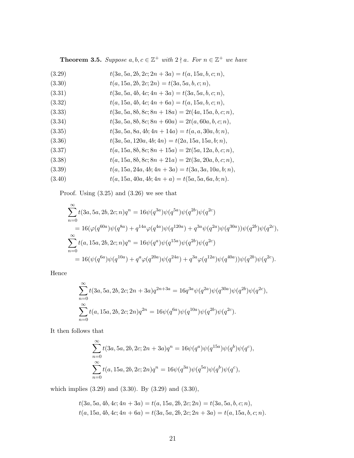**Theorem 3.5.** Suppose  $a, b, c \in \mathbb{Z}^+$  with  $2 \nmid a$ . For  $n \in \mathbb{Z}^+$  we have

- (3.29)  $t(3a, 5a, 2b, 2c; 2n + 3a) = t(a, 15a, b, c; n),$ (3.30)  $t(a, 15a, 2b, 2c; 2n) = t(3a, 5a, b, c; n),$ (3.31)  $t(3a, 5a, 4b, 4c; 4n + 3a) = t(3a, 5a, b, c; n),$ (3.32)  $t(a, 15a, 4b, 4c; 4n + 6a) = t(a, 15a, b, c; n),$ (3.33)  $t(3a, 5a, 8b, 8c; 8n + 18a) = 2t(4a, 15a, b, c; n),$ (3.34)  $t(3a, 5a, 8b, 8c; 8n + 60a) = 2t(a, 60a, b, c; n),$ (3.35)  $t(3a, 5a, 8a, 4b; 4n + 14a) = t(a, a, 30a, b; n),$ (3.36)  $t(3a, 5a, 120a, 4b; 4n) = t(2a, 15a, 15a, b; n),$ (3.37)  $t(a, 15a, 8b, 8c; 8n + 15a) = 2t(5a, 12a, b, c; n),$ (3.38)  $t(a, 15a, 8b, 8c; 8n + 21a) = 2t(3a, 20a, b, c; n),$
- (3.39)  $t(a, 15a, 24a, 4b; 4n + 3a) = t(3a, 3a, 10a, b; n),$
- (3.40)  $t(a, 15a, 40a, 4b; 4n + a) = t(5a, 5a, 6a, b; n).$

Proof. Using (3.25) and (3.26) we see that

$$
\sum_{n=0}^{\infty} t(3a, 5a, 2b, 2c; n)q^{n} = 16\psi(q^{3a})\psi(q^{5a})\psi(q^{2b})\psi(q^{2c})
$$
  
\n
$$
= 16(\varphi(q^{60a})\psi(q^{8a}) + q^{14a}\varphi(q^{4a})\psi(q^{120a}) + q^{3a}\psi(q^{2a})\psi(q^{30a}))\psi(q^{2b})\psi(q^{2c}),
$$
  
\n
$$
\sum_{n=0}^{\infty} t(a, 15a, 2b, 2c; n)q^{n} = 16\psi(q^{a})\psi(q^{15a})\psi(q^{2b})\psi(q^{2c})
$$
  
\n
$$
= 16(\psi(q^{6a})\psi(q^{10a}) + q^{a}\varphi(q^{20a})\psi(q^{24a}) + q^{3a}\varphi(q^{12a})\psi(q^{40a}))\psi(q^{2b})\psi(q^{2c}).
$$

Hence

$$
\sum_{n=0}^{\infty} t(3a, 5a, 2b, 2c; 2n + 3a)q^{2n+3a} = 16q^{3a}\psi(q^{2a})\psi(q^{30a})\psi(q^{2b})\psi(q^{2c}),
$$
  

$$
\sum_{n=0}^{\infty} t(a, 15a, 2b, 2c; 2n)q^{2n} = 16\psi(q^{6a})\psi(q^{10a})\psi(q^{2b})\psi(q^{2c}).
$$

It then follows that

$$
\sum_{n=0}^{\infty} t(3a, 5a, 2b, 2c; 2n + 3a)q^{n} = 16\psi(q^{a})\psi(q^{15a})\psi(q^{b})\psi(q^{c}),
$$
  

$$
\sum_{n=0}^{\infty} t(a, 15a, 2b, 2c; 2n)q^{n} = 16\psi(q^{3a})\psi(q^{5a})\psi(q^{b})\psi(q^{c}),
$$

which implies (3.29) and (3.30). By (3.29) and (3.30),

$$
t(3a, 5a, 4b, 4c; 4n + 3a) = t(a, 15a, 2b, 2c; 2n) = t(3a, 5a, b, c; n),
$$
  

$$
t(a, 15a, 4b, 4c; 4n + 6a) = t(3a, 5a, 2b, 2c; 2n + 3a) = t(a, 15a, b, c; n).
$$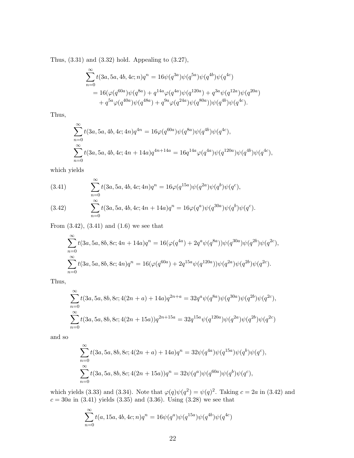Thus, (3.31) and (3.32) hold. Appealing to (3.27),

$$
\sum_{n=0}^{\infty} t(3a, 5a, 4b, 4c; n)q^n = 16\psi(q^{3a})\psi(q^{5a})\psi(q^{4b})\psi(q^{4c})
$$
  
=  $16(\varphi(q^{60a})\psi(q^{8a}) + q^{14a}\varphi(q^{4a})\psi(q^{120a}) + q^{3a}\psi(q^{12a})\psi(q^{20a})$   
+  $q^{5a}\varphi(q^{40a})\psi(q^{48a}) + q^{9a}\varphi(q^{24a})\psi(q^{80a}))\psi(q^{4b})\psi(q^{4c}).$ 

Thus,

$$
\sum_{n=0}^{\infty} t(3a, 5a, 4b, 4c; 4n)q^{4n} = 16\varphi(q^{60a})\psi(q^{8a})\psi(q^{4b})\psi(q^{4c}),
$$
  

$$
\sum_{n=0}^{\infty} t(3a, 5a, 4b, 4c; 4n + 14a)q^{4n+14a} = 16q^{14a}\varphi(q^{4a})\psi(q^{120a})\psi(q^{4b})\psi(q^{4c}),
$$

which yields

(3.41) 
$$
\sum_{n=0}^{\infty} t(3a, 5a, 4b, 4c; 4n)q^n = 16\varphi(q^{15a})\psi(q^{2a})\psi(q^b)\psi(q^c),
$$
  
\n
$$
\sum_{n=0}^{\infty} t(3a, 5a, 4b, 4c; 4n + 14a)q^n = 16\varphi(q^a)\psi(q^{30a})\psi(q^b)\psi(q^c).
$$

From (3.42), (3.41) and (1.6) we see that

$$
\sum_{n=0}^{\infty} t(3a, 5a, 8b, 8c; 4n + 14a)q^{n} = 16(\varphi(q^{4a}) + 2q^{a}\psi(q^{8a}))\psi(q^{30a})\psi(q^{2b})\psi(q^{2c}),
$$
  

$$
\sum_{n=0}^{\infty} t(3a, 5a, 8b, 8c; 4n)q^{n} = 16(\varphi(q^{60a}) + 2q^{15a}\psi(q^{120a}))\psi(q^{2a})\psi(q^{2b})\psi(q^{2c}).
$$

Thus,

$$
\sum_{n=0}^{\infty} t(3a, 5a, 8b, 8c; 4(2n+a) + 14a)q^{2n+a} = 32q^{a}\psi(q^{8a})\psi(q^{30a})\psi(q^{2b})\psi(q^{2c}),
$$
  

$$
\sum_{n=0}^{\infty} t(3a, 5a, 8b, 8c; 4(2n+15a))q^{2n+15a} = 32q^{15a}\psi(q^{120a})\psi(q^{2a})\psi(q^{2b})\psi(q^{2c})
$$

and so

$$
\sum_{n=0}^{\infty} t(3a, 5a, 8b, 8c; 4(2n + a) + 14a)q^{n} = 32\psi(q^{4a})\psi(q^{15a})\psi(q^{b})\psi(q^{c}),
$$
  

$$
\sum_{n=0}^{\infty} t(3a, 5a, 8b, 8c; 4(2n + 15a))q^{n} = 32\psi(q^{a})\psi(q^{60a})\psi(q^{b})\psi(q^{c}),
$$

which yields (3.33) and (3.34). Note that  $\varphi(q)\psi(q^2) = \psi(q)^2$ . Taking  $c = 2a$  in (3.42) and  $c = 30a$  in  $(3.41)$  yields  $(3.35)$  and  $(3.36)$ . Using  $(3.28)$  we see that

$$
\sum_{n=0}^{\infty} t(a, 15a, 4b, 4c; n)q^n = 16\psi(q^a)\psi(q^{15a})\psi(q^{4b})\psi(q^{4c})
$$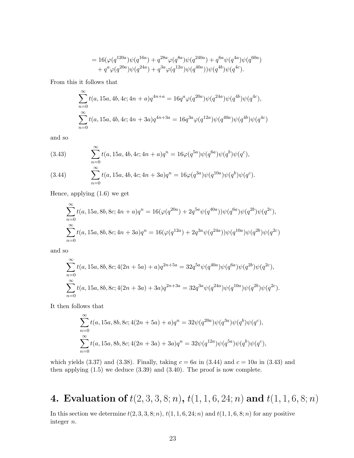$$
= 16(\varphi(q^{120a})\psi(q^{16a}) + q^{28a}\varphi(q^{8a})\psi(q^{240a}) + q^{6a}\psi(q^{4a})\psi(q^{60a}) + q^a\varphi(q^{20a})\psi(q^{24a}) + q^{3a}\varphi(q^{12a})\psi(q^{40a}))\psi(q^{4b})\psi(q^{4c}).
$$

From this it follows that

$$
\sum_{n=0}^{\infty} t(a, 15a, 4b, 4c; 4n+a)q^{4n+a} = 16q^a \varphi(q^{20a}) \psi(q^{24a}) \psi(q^{4b}) \psi(q^{4c}),
$$
  

$$
\sum_{n=0}^{\infty} t(a, 15a, 4b, 4c; 4n+3a) q^{4n+3a} = 16q^{3a} \varphi(q^{12a}) \psi(q^{40a}) \psi(q^{4b}) \psi(q^{4c})
$$

and so

(3.43) 
$$
\sum_{n=0}^{\infty} t(a, 15a, 4b, 4c; 4n + a)q^{n} = 16\varphi(q^{5a})\psi(q^{6a})\psi(q^{b})\psi(q^{c}),
$$
  
(3.44) 
$$
\sum_{n=0}^{\infty} t(a, 15a, 4b, 4c; 4n + 3a)a^{n} = 16\varphi(q^{3a})\psi(q^{10a})\psi(q^{b})\psi(q^{c}).
$$

(3.44) 
$$
\sum_{n=0} t(a, 15a, 4b, 4c; 4n + 3a)q^n = 16\varphi(q^{3a})\psi(q^{10a})\psi(q^b)\psi(q^c).
$$

Hence, applying (1.6) we get

$$
\sum_{n=0}^{\infty} t(a, 15a, 8b, 8c; 4n + a)q^{n} = 16(\varphi(q^{20a}) + 2q^{5a}\psi(q^{40a}))\psi(q^{6a})\psi(q^{2b})\psi(q^{2c}),
$$
  

$$
\sum_{n=0}^{\infty} t(a, 15a, 8b, 8c; 4n + 3a)q^{n} = 16(\varphi(q^{12a}) + 2q^{3a}\psi(q^{24a}))\psi(q^{10a})\psi(q^{2b})\psi(q^{2c})
$$

and so

$$
\sum_{n=0}^{\infty} t(a, 15a, 8b, 8c; 4(2n + 5a) + a)q^{2n + 5a} = 32q^{5a}\psi(q^{40a})\psi(q^{6a})\psi(q^{2b})\psi(q^{2c}),
$$
  

$$
\sum_{n=0}^{\infty} t(a, 15a, 8b, 8c; 4(2n + 3a) + 3a)q^{2n + 3a} = 32q^{3a}\psi(q^{24a})\psi(q^{10a})\psi(q^{2b})\psi(q^{2c}).
$$

It then follows that

 $\infty$ 

$$
\sum_{n=0}^{\infty} t(a, 15a, 8b, 8c; 4(2n + 5a) + a)q^{n} = 32\psi(q^{20a})\psi(q^{3a})\psi(q^{b})\psi(q^{c}),
$$
  

$$
\sum_{n=0}^{\infty} t(a, 15a, 8b, 8c; 4(2n + 3a) + 3a)q^{n} = 32\psi(q^{12a})\psi(q^{5a})\psi(q^{b})\psi(q^{c}),
$$

which yields (3.37) and (3.38). Finally, taking  $c = 6a$  in (3.44) and  $c = 10a$  in (3.43) and then applying  $(1.5)$  we deduce  $(3.39)$  and  $(3.40)$ . The proof is now complete.

# 4. Evaluation of  $t(2, 3, 3, 8; n)$ ,  $t(1, 1, 6, 24; n)$  and  $t(1, 1, 6, 8; n)$

In this section we determine  $t(2, 3, 3, 8; n)$ ,  $t(1, 1, 6, 24; n)$  and  $t(1, 1, 6, 8; n)$  for any positive integer n.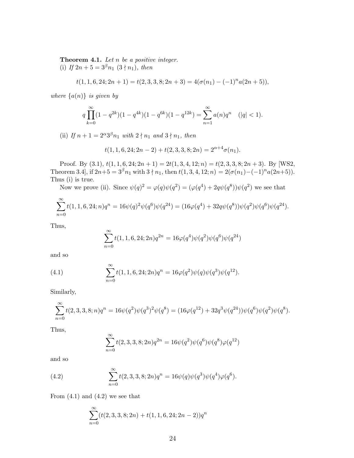**Theorem 4.1.** Let  $n$  be a positive integer. (i) If  $2n + 5 = 3^{\beta}n_1$   $(3 \nmid n_1)$ , then

$$
t(1, 1, 6, 24; 2n + 1) = t(2, 3, 3, 8; 2n + 3) = 4(\sigma(n_1) - (-1)^n a(2n + 5)),
$$

where  $\{a(n)\}\$ is given by

$$
q\prod_{k=0}^{\infty}(1-q^{2k})(1-q^{4k})(1-q^{6k})(1-q^{12k})=\sum_{n=1}^{\infty}a(n)q^n \quad (|q|<1).
$$

(ii) If  $n+1=2^{\alpha}3^{\beta}n_1$  with  $2\nmid n_1$  and  $3\nmid n_1$ , then

$$
t(1, 1, 6, 24; 2n - 2) + t(2, 3, 3, 8; 2n) = 2^{\alpha + 4} \sigma(n_1).
$$

Proof. By (3.1),  $t(1, 1, 6, 24; 2n + 1) = 2t(1, 3, 4, 12; n) = t(2, 3, 3, 8; 2n + 3)$ . By [WS2, Theorem 3.4], if  $2n+5 = 3^{\beta}n_1$  with  $3 \nmid n_1$ , then  $t(1, 3, 4, 12; n) = 2(\sigma(n_1) - (-1)^n a(2n+5))$ . Thus (i) is true.

Now we prove (ii). Since  $\psi(q)^2 = \varphi(q)\psi(q^2) = (\varphi(q^4) + 2q\psi(q^8))\psi(q^2)$  we see that

$$
\sum_{n=0}^{\infty} t(1, 1, 6, 24; n)q^{n} = 16\psi(q)^{2}\psi(q^{6})\psi(q^{24}) = (16\varphi(q^{4}) + 32q\psi(q^{8}))\psi(q^{2})\psi(q^{6})\psi(q^{24}).
$$

Thus,

$$
\sum_{n=0}^{\infty} t(1, 1, 6, 24; 2n)q^{2n} = 16\varphi(q^4)\psi(q^2)\psi(q^6)\psi(q^{24})
$$

and so

(4.1) 
$$
\sum_{n=0}^{\infty} t(1, 1, 6, 24; 2n)q^{n} = 16\varphi(q^{2})\psi(q)\psi(q^{3})\psi(q^{12}).
$$

Similarly,

$$
\sum_{n=0}^{\infty} t(2,3,3,8;n)q^n = 16\psi(q^2)\psi(q^3)^2\psi(q^8) = (16\varphi(q^{12}) + 32q^3\psi(q^{24}))\psi(q^6)\psi(q^2)\psi(q^8).
$$

Thus,

$$
\sum_{n=0}^{\infty} t(2,3,3,8;2n)q^{2n} = 16\psi(q^2)\psi(q^6)\psi(q^8)\varphi(q^{12})
$$

and so

(4.2) 
$$
\sum_{n=0}^{\infty} t(2,3,3,8;2n)q^{n} = 16\psi(q)\psi(q^{3})\psi(q^{4})\varphi(q^{6}).
$$

From  $(4.1)$  and  $(4.2)$  we see that

$$
\sum_{n=0}^{\infty} (t(2,3,3,8;2n) + t(1,1,6,24;2n-2))q^n
$$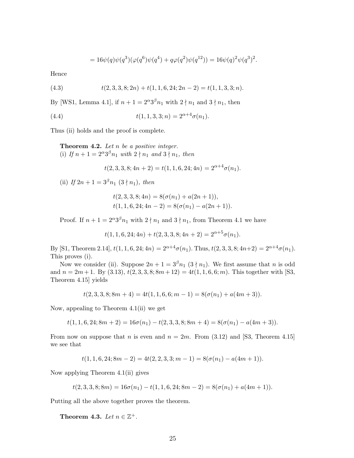$$
= 16\psi(q)\psi(q^{3})(\varphi(q^{6})\psi(q^{4}) + q\varphi(q^{2})\psi(q^{12})) = 16\psi(q)^{2}\psi(q^{3})^{2}.
$$

Hence

(4.3) 
$$
t(2,3,3,8;2n) + t(1,1,6,24;2n-2) = t(1,1,3,3;n).
$$

By [WS1, Lemma 4.1], if  $n + 1 = 2^{\alpha} 3^{\beta} n_1$  with  $2 \nmid n_1$  and  $3 \nmid n_1$ , then

(4.4) 
$$
t(1, 1, 3, 3; n) = 2^{\alpha + 4} \sigma(n_1).
$$

Thus (ii) holds and the proof is complete.

**Theorem 4.2.** Let  $n$  be a positive integer. (i) If  $n+1=2^{\alpha}3^{\beta}n_1$  with  $2\nmid n_1$  and  $3\nmid n_1$ , then

 $t(2, 3, 3, 8; 4n + 2) = t(1, 1, 6, 24; 4n) = 2^{\alpha+4}\sigma(n_1).$ 

(ii) If  $2n + 1 = 3^{\beta} n_1 (3 \nmid n_1)$ , then

$$
t(2,3,3,8;4n) = 8(\sigma(n_1) + a(2n + 1)),
$$
  

$$
t(1,1,6,24;4n-2) = 8(\sigma(n_1) - a(2n + 1)).
$$

Proof. If  $n + 1 = 2^{\alpha} 3^{\beta} n_1$  with  $2 \nmid n_1$  and  $3 \nmid n_1$ , from Theorem 4.1 we have

 $t(1, 1, 6, 24; 4n) + t(2, 3, 3, 8; 4n + 2) = 2^{\alpha + 5} \sigma(n_1).$ 

By [S1, Theorem 2.14],  $t(1, 1, 6, 24; 4n) = 2^{\alpha+4}\sigma(n_1)$ . Thus,  $t(2, 3, 3, 8; 4n+2) = 2^{\alpha+4}\sigma(n_1)$ . This proves (i).

Now we consider (ii). Suppose  $2n + 1 = 3^{\beta} n_1 (3 \nmid n_1)$ . We first assume that n is odd and  $n = 2m + 1$ . By (3.13),  $t(2, 3, 3, 8; 8m + 12) = 4t(1, 1, 6, 6; m)$ . This together with [S3, Theorem 4.15] yields

$$
t(2,3,3,8;8m + 4) = 4t(1,1,6,6; m - 1) = 8(\sigma(n_1) + a(4m + 3)).
$$

Now, appealing to Theorem 4.1(ii) we get

 $t(1, 1, 6, 24; 8m + 2) = 16\sigma(n_1) - t(2, 3, 3, 8; 8m + 4) = 8(\sigma(n_1) - a(4m + 3)).$ 

From now on suppose that n is even and  $n = 2m$ . From (3.12) and [S3, Theorem 4.15] we see that

$$
t(1, 1, 6, 24; 8m - 2) = 4t(2, 2, 3, 3; m - 1) = 8(\sigma(n_1) - a(4m + 1)).
$$

Now applying Theorem 4.1(ii) gives

$$
t(2,3,3,8;8m) = 16\sigma(n_1) - t(1,1,6,24;8m-2) = 8(\sigma(n_1) + a(4m+1)).
$$

Putting all the above together proves the theorem.

Theorem 4.3. Let  $n \in \mathbb{Z}^+$ .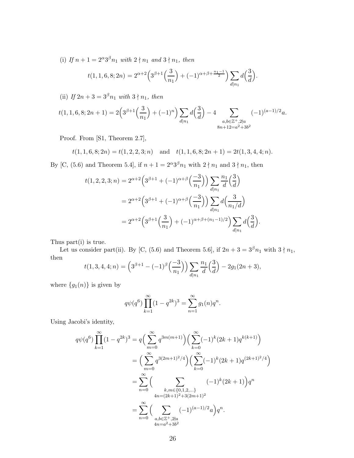(i) If  $n + 1 = 2^{\alpha} 3^{\beta} n_1$  with  $2 \nmid n_1$  and  $3 \nmid n_1$ , then

$$
t(1, 1, 6, 8; 2n) = 2^{\alpha+2} \left( 3^{\beta+1} \left( \frac{3}{n_1} \right) + (-1)^{\alpha+\beta+\frac{n_1-1}{2}} \right) \sum_{d|n_1} d\left( \frac{3}{d} \right).
$$

(ii) If  $2n + 3 = 3<sup>\beta</sup>n_1$  with  $3 \nmid n_1$ , then

$$
t(1,1,6,8;2n+1) = 2\left(3^{\beta+1}\left(\frac{3}{n_1}\right) + (-1)^n\right)\sum_{d|n_1}d\left(\frac{3}{d}\right) - 4\sum_{\substack{a,b\in\mathbb{Z}^+,2\nmid a\\8n+12=a^2+3b^2}}(-1)^{(a-1)/2}a.
$$

Proof. From [S1, Theorem 2.7],

$$
t(1, 1, 6, 8; 2n) = t(1, 2, 2, 3; n)
$$
 and  $t(1, 1, 6, 8; 2n + 1) = 2t(1, 3, 4, 4; n).$ 

By [C, (5.6) and Theorem 5.4], if  $n + 1 = 2^{\alpha}3^{\beta}n_1$  with  $2 \nmid n_1$  and  $3 \nmid n_1$ , then

$$
t(1,2,2,3;n) = 2^{\alpha+2} \left( 3^{\beta+1} + (-1)^{\alpha+\beta} \left( \frac{-3}{n_1} \right) \right) \sum_{d|n_1} \frac{n_1}{d} \left( \frac{3}{d} \right)
$$
  
=  $2^{\alpha+2} \left( 3^{\beta+1} + (-1)^{\alpha+\beta} \left( \frac{-3}{n_1} \right) \right) \sum_{d|n_1} d \left( \frac{3}{n_1/d} \right)$   
=  $2^{\alpha+2} \left( 3^{\beta+1} \left( \frac{3}{n_1} \right) + (-1)^{\alpha+\beta+(n_1-1)/2} \right) \sum_{d|n_1} d \left( \frac{3}{d} \right).$ 

Thus part(i) is true.

Let us consider part(ii). By [C, (5.6) and Theorem 5.6], if  $2n + 3 = 3^{\beta}n_1$  with  $3 \nmid n_1$ , then

$$
t(1,3,4,4;n) = \left(3^{\beta+1} - (-1)^{\beta} \left(\frac{-3}{n_1}\right)\right) \sum_{d|n_1} \frac{n_1}{d} \left(\frac{3}{d}\right) - 2g_1(2n+3),
$$

where  $\{g_1(n)\}\)$  is given by

$$
q\psi(q^{6})\prod_{k=1}^{\infty}(1-q^{2k})^{3} = \sum_{n=1}^{\infty}g_{1}(n)q^{n}.
$$

Using Jacobi's identity,

$$
q\psi(q^{6})\prod_{k=1}^{\infty}(1-q^{2k})^{3} = q\left(\sum_{m=0}^{\infty}q^{3m(m+1)}\right)\left(\sum_{k=0}^{\infty}(-1)^{k}(2k+1)q^{k(k+1)}\right)
$$
  

$$
= \left(\sum_{m=0}^{\infty}q^{3(2m+1)^{2}/4}\right)\left(\sum_{k=0}^{\infty}(-1)^{k}(2k+1)q^{(2k+1)^{2}/4}\right)
$$
  

$$
= \sum_{n=0}^{\infty}\left(\sum_{\substack{k,m\in\{0,1,2,\ldots\}\\4n=(2k+1)^{2}+3(2m+1)^{2}}}(-1)^{k}(2k+1)\right)q^{n}
$$
  

$$
= \sum_{n=0}^{\infty}\left(\sum_{\substack{a,b\in\mathbb{Z}^{+},2\nmid a\\4n=a^{2}+3b^{2}}}(-1)^{(a-1)/2}a\right)q^{n}.
$$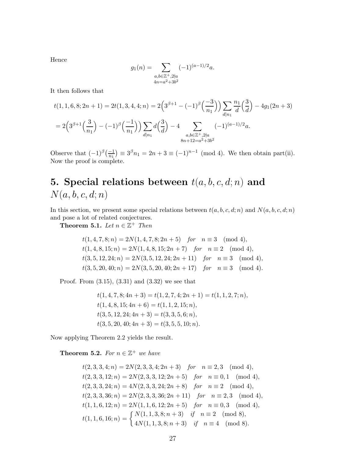Hence

$$
g_1(n) = \sum_{\substack{a,b \in \mathbb{Z}^+, 2 \nmid a \\ 4n = a^2 + 3b^2}} (-1)^{(a-1)/2} a.
$$

It then follows that

$$
t(1,1,6,8;2n+1) = 2t(1,3,4,4;n) = 2\left(3^{\beta+1} - (-1)^{\beta}\left(\frac{-3}{n_1}\right)\right) \sum_{d|n_1} \frac{n_1}{d} \left(\frac{3}{d}\right) - 4g_1(2n+3)
$$
  
=  $2\left(3^{\beta+1}\left(\frac{3}{n_1}\right) - (-1)^{\beta}\left(\frac{-1}{n_1}\right)\right) \sum_{d|n_1} d\left(\frac{3}{d}\right) - 4 \sum_{\substack{a,b \in \mathbb{Z}^+,2\nmid a\\8n+12=a^2+3b^2}} (-1)^{(a-1)/2}a.$ 

Observe that  $(-1)^{\beta} \left(\frac{-1}{n_1}\right) \equiv 3^{\beta} n_1 = 2n + 3 \equiv (-1)^{n-1} \pmod{4}$ . We then obtain part(ii). Now the proof is complete.

# 5. Special relations between  $t(a, b, c, d; n)$  and  $N(a, b, c, d; n)$

In this section, we present some special relations between  $t(a, b, c, d; n)$  and  $N(a, b, c, d; n)$ and pose a lot of related conjectures.

Theorem 5.1. Let  $n \in \mathbb{Z}^+$  Then

$$
t(1, 4, 7, 8; n) = 2N(1, 4, 7, 8; 2n + 5) \quad \text{for} \quad n \equiv 3 \pmod{4},
$$
\n
$$
t(1, 4, 8, 15; n) = 2N(1, 4, 8, 15; 2n + 7) \quad \text{for} \quad n \equiv 2 \pmod{4},
$$
\n
$$
t(3, 5, 12, 24; n) = 2N(3, 5, 12, 24; 2n + 11) \quad \text{for} \quad n \equiv 3 \pmod{4},
$$
\n
$$
t(3, 5, 20, 40; n) = 2N(3, 5, 20, 40; 2n + 17) \quad \text{for} \quad n \equiv 3 \pmod{4}.
$$

Proof. From (3.15), (3.31) and (3.32) we see that

 $t(1, 4, 7, 8; 4n + 3) = t(1, 2, 7, 4; 2n + 1) = t(1, 1, 2, 7; n),$  $t(1, 4, 8, 15; 4n + 6) = t(1, 1, 2, 15; n),$  $t(3, 5, 12, 24; 4n + 3) = t(3, 3, 5, 6; n),$  $t(3, 5, 20, 40; 4n + 3) = t(3, 5, 5, 10; n).$ 

Now applying Theorem 2.2 yields the result.

**Theorem 5.2.** For  $n \in \mathbb{Z}^+$  we have

$$
t(2,3,3,4;n) = 2N(2,3,3,4;2n+3) \text{ for } n \equiv 2,3 \pmod{4},
$$
  
\n
$$
t(2,3,3,12;n) = 2N(2,3,3,12;2n+5) \text{ for } n \equiv 0,1 \pmod{4},
$$
  
\n
$$
t(2,3,3,24;n) = 4N(2,3,3,24;2n+8) \text{ for } n \equiv 2 \pmod{4},
$$
  
\n
$$
t(2,3,3,36;n) = 2N(2,3,3,36;2n+11) \text{ for } n \equiv 2,3 \pmod{4},
$$
  
\n
$$
t(1,1,6,12;n) = 2N(1,1,6,12;2n+5) \text{ for } n \equiv 0,3 \pmod{4},
$$
  
\n
$$
t(1,1,6,16;n) = \begin{cases} N(1,1,3,8;n+3) & \text{if } n \equiv 2 \pmod{8},\\ 4N(1,1,3,8;n+3) & \text{if } n \equiv 4 \pmod{8}. \end{cases}
$$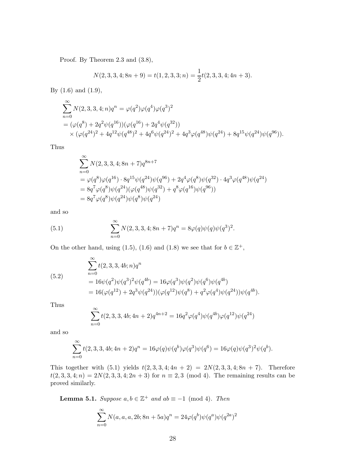Proof. By Theorem 2.3 and (3.8),

$$
N(2,3,3,4;8n+9) = t(1,2,3,3;n) = \frac{1}{2}t(2,3,3,4;4n+3).
$$

By (1.6) and (1.9),

$$
\sum_{n=0}^{\infty} N(2,3,3,4;n)q^n = \varphi(q^2)\varphi(q^4)\varphi(q^3)^2
$$
  
=  $(\varphi(q^8) + 2q^2\psi(q^{16}))(\varphi(q^{16}) + 2q^4\psi(q^{32}))$   
 $\times (\varphi(q^{24})^2 + 4q^{12}\psi(q^{48})^2 + 4q^6\psi(q^{24})^2 + 4q^3\varphi(q^{48})\psi(q^{24}) + 8q^{15}\psi(q^{24})\psi(q^{96})).$ 

Thus

$$
\sum_{n=0}^{\infty} N(2,3,3,4;8n+7)q^{8n+7}
$$
\n
$$
= \varphi(q^{8})\varphi(q^{16}) \cdot 8q^{15}\psi(q^{24})\psi(q^{96}) + 2q^{4}\varphi(q^{8})\psi(q^{32}) \cdot 4q^{3}\varphi(q^{48})\psi(q^{24})
$$
\n
$$
= 8q^{7}\varphi(q^{8})\psi(q^{24})(\varphi(q^{48})\psi(q^{32}) + q^{8}\varphi(q^{16})\psi(q^{96}))
$$
\n
$$
= 8q^{7}\varphi(q^{8})\psi(q^{24})\psi(q^{8})\psi(q^{24})
$$

and so

(5.1) 
$$
\sum_{n=0}^{\infty} N(2,3,3,4;8n+7)q^{n} = 8\varphi(q)\psi(q)\psi(q^{3})^{2}.
$$

On the other hand, using (1.5), (1.6) and (1.8) we see that for  $b \in \mathbb{Z}^+$ ,

(5.2)  
\n
$$
\sum_{n=0}^{\infty} t(2,3,3,4b;n)q^n
$$
\n
$$
= 16\psi(q^2)\psi(q^3)^2\psi(q^{4b}) = 16\varphi(q^3)\psi(q^2)\psi(q^6)\psi(q^{4b})
$$
\n
$$
= 16(\varphi(q^{12}) + 2q^3\psi(q^{24}))(\varphi(q^{12})\psi(q^8) + q^2\varphi(q^4)\psi(q^{24}))\psi(q^{4b}).
$$

Thus

$$
\sum_{n=0}^{\infty} t(2,3,3,4b;4n+2)q^{4n+2} = 16q^2 \varphi(q^4) \psi(q^{4b}) \varphi(q^{12}) \psi(q^{24})
$$

and so

$$
\sum_{n=0}^{\infty} t(2,3,3,4b;4n+2)q^{n} = 16\varphi(q)\psi(q^{b})\varphi(q^{3})\psi(q^{6}) = 16\varphi(q)\psi(q^{3})^{2}\psi(q^{b}).
$$

This together with  $(5.1)$  yields  $t(2, 3, 3, 4; 4n + 2) = 2N(2, 3, 3, 4; 8n + 7)$ . Therefore  $t(2, 3, 3, 4; n) = 2N(2, 3, 3, 4; 2n + 3)$  for  $n \equiv 2, 3 \pmod{4}$ . The remaining results can be proved similarly.

**Lemma 5.1.** Suppose  $a, b \in \mathbb{Z}^+$  and  $ab \equiv -1 \pmod{4}$ . Then

$$
\sum_{n=0}^{\infty} N(a, a, a, 2b; 8n + 5a)q^{n} = 24\varphi(q^{b})\psi(q^{a})\psi(q^{2a})^{2}
$$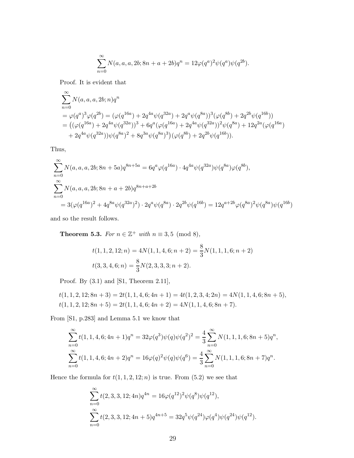$$
\sum_{n=0}^{\infty} N(a, a, a, 2b; 8n + a + 2b)q^{n} = 12\varphi(q^{a})^{2}\psi(q^{a})\psi(q^{2b}).
$$

Proof. It is evident that

$$
\sum_{n=0}^{\infty} N(a, a, a, 2b; n) q^n
$$
\n
$$
= \varphi(q^{a})^3 \varphi(q^{2b}) = (\varphi(q^{16a}) + 2q^{4a} \psi(q^{32a}) + 2q^{a} \psi(q^{8a}))^3 (\varphi(q^{8b}) + 2q^{2b} \psi(q^{16b}))
$$
\n
$$
= ((\varphi(q^{16a}) + 2q^{4a} \psi(q^{32a}))^3 + 6q^{a} (\varphi(q^{16a}) + 2q^{4a} \psi(q^{32a}))^2 \psi(q^{8a}) + 12q^{2a} (\varphi(q^{16a}) + 2q^{4a} \psi(q^{32a})) \psi(q^{8a})^2 + 8q^{3a} \psi(q^{8a})^3)(\varphi(q^{8b}) + 2q^{2b} \psi(q^{16b})).
$$

Thus,

$$
\sum_{n=0}^{\infty} N(a, a, a, 2b; 8n + 5a) q^{8n+5a} = 6q^a \varphi(q^{16a}) \cdot 4q^{4a} \psi(q^{32a}) \psi(q^{8a}) \varphi(q^{8b}),
$$
  

$$
\sum_{n=0}^{\infty} N(a, a, a, 2b; 8n + a + 2b) q^{8n+a+2b}
$$
  

$$
= 3(\varphi(q^{16a})^2 + 4q^{8a} \psi(q^{32a})^2) \cdot 2q^a \psi(q^{8a}) \cdot 2q^{2b} \psi(q^{16b}) = 12q^{a+2b} \varphi(q^{8a})^2 \psi(q^{8a}) \psi(q^{16b})
$$

and so the result follows.

**Theorem 5.3.** For  $n \in \mathbb{Z}^+$  with  $n \equiv 3, 5 \pmod{8}$ ,

$$
t(1, 1, 2, 12; n) = 4N(1, 1, 4, 6; n + 2) = \frac{8}{3}N(1, 1, 1, 6; n + 2)
$$
  

$$
t(3, 3, 4, 6; n) = \frac{8}{3}N(2, 3, 3, 3; n + 2).
$$

Proof. By (3.1) and [S1, Theorem 2.11],

$$
t(1, 1, 2, 12; 8n + 3) = 2t(1, 1, 4, 6; 4n + 1) = 4t(1, 2, 3, 4; 2n) = 4N(1, 1, 4, 6; 8n + 5),
$$
  

$$
t(1, 1, 2, 12; 8n + 5) = 2t(1, 1, 4, 6; 4n + 2) = 4N(1, 1, 4, 6; 8n + 7).
$$

From [S1, p.283] and Lemma 5.1 we know that

$$
\sum_{n=0}^{\infty} t(1, 1, 4, 6; 4n + 1)q^{n} = 32\varphi(q^{3})\psi(q)\psi(q^{2})^{2} = \frac{4}{3} \sum_{n=0}^{\infty} N(1, 1, 1, 6; 8n + 5)q^{n},
$$
  

$$
\sum_{n=0}^{\infty} t(1, 1, 4, 6; 4n + 2)q^{n} = 16\varphi(q)^{2}\psi(q)\psi(q^{6}) = \frac{4}{3} \sum_{n=0}^{\infty} N(1, 1, 1, 6; 8n + 7)q^{n}.
$$

Hence the formula for  $t(1, 1, 2, 12; n)$  is true. From  $(5.2)$  we see that

$$
\sum_{n=0}^{\infty} t(2,3,3,12;4n)q^{4n} = 16\varphi(q^{12})^2\psi(q^8)\psi(q^{12}),
$$
  

$$
\sum_{n=0}^{\infty} t(2,3,3,12;4n+5)q^{4n+5} = 32q^5\psi(q^{24})\varphi(q^4)\psi(q^{24})\psi(q^{12}).
$$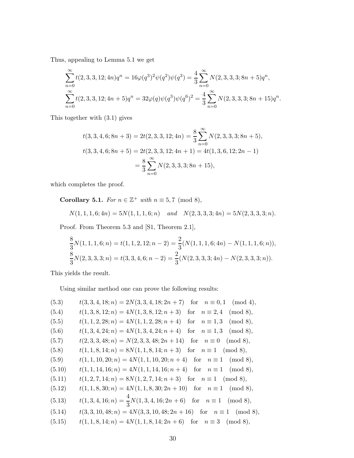Thus, appealing to Lemma 5.1 we get

$$
\sum_{n=0}^{\infty} t(2,3,3,12;4n)q^{n} = 16\varphi(q^{3})^{2}\psi(q^{2})\psi(q^{3}) = \frac{4}{3} \sum_{n=0}^{\infty} N(2,3,3,3;8n+5)q^{n},
$$
  

$$
\sum_{n=0}^{\infty} t(2,3,3,12;4n+5)q^{n} = 32\varphi(q)\psi(q^{3})\psi(q^{6})^{2} = \frac{4}{3} \sum_{n=0}^{\infty} N(2,3,3,3;8n+15)q^{n}.
$$

This together with (3.1) gives

$$
t(3,3,4,6;8n+3) = 2t(2,3,3,12;4n) = \frac{8}{3} \sum_{n=0}^{\infty} N(2,3,3,3;8n+5),
$$
  

$$
t(3,3,4,6;8n+5) = 2t(2,3,3,12;4n+1) = 4t(1,3,6,12;2n-1)
$$
  

$$
= \frac{8}{3} \sum_{n=0}^{\infty} N(2,3,3,3;8n+15),
$$

which completes the proof.

**Corollary 5.1.** For  $n \in \mathbb{Z}^+$  with  $n \equiv 5, 7 \pmod{8}$ ,

$$
N(1, 1, 1, 6; 4n) = 5N(1, 1, 1, 6; n) \quad and \quad N(2, 3, 3, 3; 4n) = 5N(2, 3, 3, 3; n).
$$

Proof. From Theorem 5.3 and [S1, Theorem 2.1],

$$
\frac{8}{3}N(1, 1, 1, 6; n) = t(1, 1, 2, 12; n - 2) = \frac{2}{3}(N(1, 1, 1, 6; 4n) - N(1, 1, 1, 6; n)),
$$
  
\n
$$
\frac{8}{3}N(2, 3, 3, 3; n) = t(3, 3, 4, 6; n - 2) = \frac{2}{3}(N(2, 3, 3, 3; 4n) - N(2, 3, 3, 3; n)).
$$

This yields the result.

Using similar method one can prove the following results:

(5.3) 
$$
t(3,3,4,18;n) = 2N(3,3,4,18;2n+7)
$$
 for  $n \equiv 0,1 \pmod{4}$ ,  
\n $t(1,3,8,12;n) = 4N(1,3,8,12;n+3)$  for  $n \equiv 2,4 \pmod{8}$ ,  
\n(5.5)  $t(1,1,2,28;n) = 4N(1,1,2,28;n+4)$  for  $n \equiv 1,3 \pmod{8}$ ,  
\n(5.6)  $t(1,3,4,24;n) = 4N(1,3,4,24;n+4)$  for  $n \equiv 1,3 \pmod{8}$ ,  
\n(5.7)  $t(2,3,3,48;n) = N(2,3,3,48;2n+14)$  for  $n \equiv 0 \pmod{8}$ ,  
\n(5.8)  $t(1,1,8,14;n) = 8N(1,1,8,14;n+3)$  for  $n \equiv 1 \pmod{8}$ ,  
\n(5.9)  $t(1,1,10,20;n) = 4N(1,1,10,20;n+4)$  for  $n \equiv 1 \pmod{8}$ ,  
\n(5.10)  $t(1,1,14,16;n) = 4N(1,1,14,16;n+4)$  for  $n \equiv 1 \pmod{8}$ ,  
\n(5.11)  $t(1,2,7,14;n) = 8N(1,2,7,14;n+3)$  for  $n \equiv 1 \pmod{8}$ ,  
\n(5.12)  $t(1,1,8,30;n) = 4N(1,1,8,30;2n+10)$  for  $n \equiv 1 \pmod{8}$ ,  
\n(5.13)  $t(1,3,4,16;n) = \frac{4}{3}N(1,3,4,16;2n+6)$  for  $n \equiv 1 \pmod{8}$ ,  
\n(5.14)  $t(3,3,10,48;n) = 4N(3,3,10,48;2n+16)$  for  $n \equiv 1 \pmod{8}$ ,  
\n(5.15)  $t(1,1,8,14;n) = 4N(1,1,8,14;2n+6)$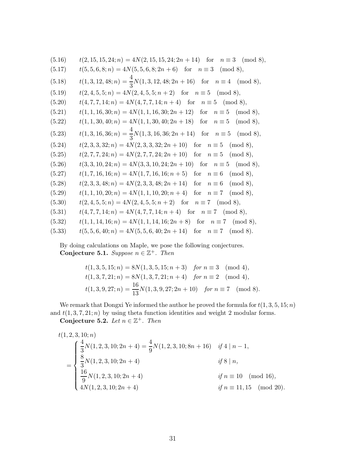| $t(2, 15, 15, 24; n) = 4N(2, 15, 15, 24; 2n + 14)$ for $n \equiv 3 \pmod{8}$ , |
|--------------------------------------------------------------------------------|
| $t(5,5,6,8;n) = 4N(5,5,6,8;2n+6)$ for $n \equiv 3 \pmod{8}$ ,                  |
| $t(1,3,12,48;n) = \frac{4}{3}N(1,3,12,48;2n+16)$ for $n \equiv 4 \pmod{8}$ ,   |
| $t(2, 4, 5, 5; n) = 4N(2, 4, 5, 5; n + 2)$ for $n \equiv 5 \pmod{8}$ ,         |
| $t(4, 7, 7, 14; n) = 4N(4, 7, 7, 14; n + 4)$ for $n \equiv 5 \pmod{8}$ ,       |
| $t(1, 1, 16, 30; n) = 4N(1, 1, 16, 30; 2n + 12)$ for $n \equiv 5 \pmod{8}$ ,   |
| $t(1, 1, 30, 40; n) = 4N(1, 1, 30, 40; 2n + 18)$ for $n \equiv 5 \pmod{8}$ ,   |
| $t(1,3,16,36;n) = \frac{4}{3}N(1,3,16,36;2n+14)$ for $n \equiv 5 \pmod{8}$ ,   |
| $t(2,3,3,32;n) = 4N(2,3,3,32;2n+10)$ for $n \equiv 5 \pmod{8}$ ,               |
| $t(2, 7, 7, 24; n) = 4N(2, 7, 7, 24; 2n + 10)$ for $n \equiv 5 \pmod{8}$ ,     |
| $t(3,3,10,24;n) = 4N(3,3,10,24;2n+10)$ for $n \equiv 5 \pmod{8}$ ,             |
| $t(1, 7, 16, 16; n) = 4N(1, 7, 16, 16; n + 5)$ for $n \equiv 6 \pmod{8}$ ,     |
| $t(2,3,3,48;n) = 4N(2,3,3,48;2n+14)$ for $n \equiv 6 \pmod{8}$ ,               |
| $t(1, 1, 10, 20; n) = 4N(1, 1, 10, 20; n + 4)$ for $n \equiv 7 \pmod{8}$ ,     |
| $t(2,4,5,5;n) = 4N(2,4,5,5;n+2)$ for $n \equiv 7 \pmod{8}$ ,                   |
| $t(4, 7, 7, 14; n) = 4N(4, 7, 7, 14; n + 4)$ for $n \equiv 7 \pmod{8}$ ,       |
| $t(1, 1, 14, 16; n) = 4N(1, 1, 14, 16; 2n + 8)$ for $n \equiv 7 \pmod{8}$ ,    |
| $t(5, 5, 6, 40; n) = 4N(5, 5, 6, 40; 2n + 14)$ for $n \equiv 7 \pmod{8}$ .     |
|                                                                                |

By doing calculations on Maple, we pose the following conjectures. Conjecture 5.1. Suppose  $n \in \mathbb{Z}^+$ . Then

$$
t(1,3,5,15;n) = 8N(1,3,5,15;n+3) \quad \text{for } n \equiv 3 \pmod{4},
$$
  

$$
t(1,3,7,21;n) = 8N(1,3,7,21;n+4) \quad \text{for } n \equiv 2 \pmod{4},
$$
  

$$
t(1,3,9,27;n) = \frac{16}{13}N(1,3,9,27;2n+10) \quad \text{for } n \equiv 7 \pmod{8}.
$$

We remark that Dongxi Ye informed the author he proved the formula for  $t(1, 3, 5, 15; n)$ and  $t(1, 3, 7, 21; n)$  by using theta function identities and weight 2 modular forms.

Conjecture 5.2. Let  $n \in \mathbb{Z}^+$ . Then

$$
t(1, 2, 3, 10; n)
$$
\n
$$
= \begin{cases}\n\frac{4}{3}N(1, 2, 3, 10; 2n + 4) = \frac{4}{9}N(1, 2, 3, 10; 8n + 16) & \text{if } 4 | n - 1, \\
\frac{8}{3}N(1, 2, 3, 10; 2n + 4) & \text{if } 8 | n, \\
\frac{16}{9}N(1, 2, 3, 10; 2n + 4) & \text{if } n \equiv 10 \pmod{16}, \\
4N(1, 2, 3, 10; 2n + 4) & \text{if } n \equiv 11, 15 \pmod{20}.\n\end{cases}
$$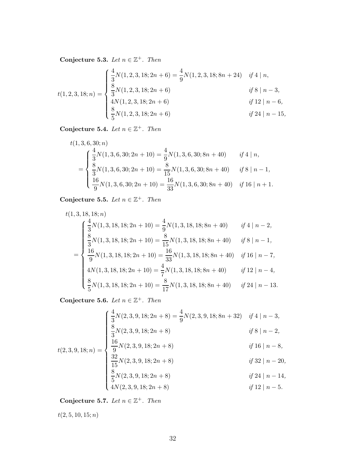Conjecture 5.3. Let  $n \in \mathbb{Z}^+$ . Then

$$
t(1,2,3,18;n) = \begin{cases} \frac{4}{3}N(1,2,3,18;2n+6) = \frac{4}{9}N(1,2,3,18;8n+24) & \text{if } 4 \mid n, \\ \frac{8}{3}N(1,2,3,18;2n+6) & \text{if } 8 \mid n-3, \\ 4N(1,2,3,18;2n+6) & \text{if } 12 \mid n-6, \\ \frac{8}{5}N(1,2,3,18;2n+6) & \text{if } 24 \mid n-15, \end{cases}
$$

Conjecture 5.4. Let  $n \in \mathbb{Z}^+$ . Then

$$
t(1,3,6,30;n)
$$
  
= 
$$
\begin{cases} \frac{4}{3}N(1,3,6,30;2n+10) = \frac{4}{9}N(1,3,6,30;8n+40) & \text{if } 4 | n, \\ \frac{8}{3}N(1,3,6,30;2n+10) = \frac{8}{15}N(1,3,6,30;8n+40) & \text{if } 8 | n-1, \\ \frac{16}{9}N(1,3,6,30;2n+10) = \frac{16}{33}N(1,3,6,30;8n+40) & \text{if } 16 | n+1. \end{cases}
$$

Conjecture 5.5. Let  $n \in \mathbb{Z}^+$ . Then

$$
t(1,3,18,18;n)
$$
  
\n
$$
\begin{cases}\n\frac{4}{3}N(1,3,18,18;2n+10) = \frac{4}{9}N(1,3,18,18;8n+40) & if 4 | n-2, \\
\frac{8}{3}N(1,3,18,18;2n+10) = \frac{8}{15}N(1,3,18,18;8n+40) & if 8 | n-1, \\
\frac{16}{9}N(1,3,18,18;2n+10) = \frac{16}{33}N(1,3,18,18;8n+40) & if 16 | n-7, \\
4N(1,3,18,18;2n+10) = \frac{4}{7}N(1,3,18,18;8n+40) & if 12 | n-4, \\
\frac{8}{5}N(1,3,18,18;2n+10) = \frac{8}{17}N(1,3,18,18;8n+40) & if 24 | n-13.\n\end{cases}
$$

Conjecture 5.6. Let  $n \in \mathbb{Z}^+$ . Then

$$
\begin{cases}\n\frac{4}{3}N(2,3,9,18;2n+8) = \frac{4}{9}N(2,3,9,18;8n+32) & if 4 | n-3, \\
\frac{8}{3}N(2,3,9,18;2n+8) & if 8 | n-2,\n\end{cases}
$$

$$
t(2,3,9,18;n) = \begin{cases} \frac{3}{3}N(2,3,9,18;2n+8) & \text{if } 8 \mid n-2, \\ \frac{8}{3}N(2,3,9,18;2n+8) & \text{if } 8 \mid n-2, \\ \frac{16}{9}N(2,3,9,18;2n+8) & \text{if } 16 \mid n-8, \\ \frac{32}{15}N(2,3,9,18;2n+8) & \text{if } 32 \mid n-20, \\ \frac{8}{5}N(2,3,9,18;2n+8) & \text{if } 24 \mid n-14, \\ 4N(2,3,9,18;2n+8) & \text{if } 12 \mid n-5. \end{cases}
$$

Conjecture 5.7. Let  $n \in \mathbb{Z}^+$ . Then

 $t(2, 5, 10, 15; n)$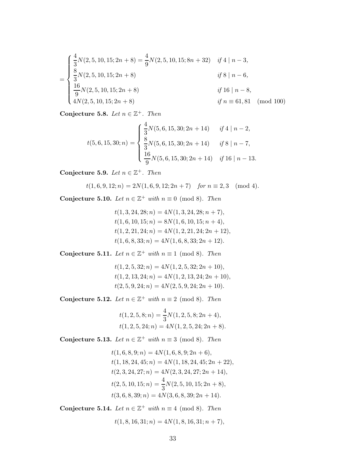$$
= \begin{cases} \frac{4}{3}N(2,5,10,15;2n+8) = \frac{4}{9}N(2,5,10,15;8n+32) & if 4 | n-3, \\ \frac{8}{3}N(2,5,10,15;2n+8) & if 8 | n-6, \\ \frac{16}{9}N(2,5,10,15;2n+8) & if 16 | n-8, \\ 4N(2,5,10,15;2n+8) & if n \equiv 61,81 \pmod{100} \end{cases}
$$

Conjecture 5.8. Let  $n \in \mathbb{Z}^+$ . Then

$$
t(5,6,15,30;n) = \begin{cases} \frac{4}{3}N(5,6,15,30;2n+14) & \text{if } 4 | n-2, \\ \frac{8}{3}N(5,6,15,30;2n+14) & \text{if } 8 | n-7, \\ \frac{16}{9}N(5,6,15,30;2n+14) & \text{if } 16 | n-13. \end{cases}
$$

Conjecture 5.9. Let  $n \in \mathbb{Z}^+$ . Then

$$
t(1,6,9,12;n) = 2N(1,6,9,12;2n+7) \quad \text{for } n \equiv 2,3 \pmod{4}.
$$

Conjecture 5.10. Let  $n \in \mathbb{Z}^+$  with  $n \equiv 0 \pmod{8}$ . Then

$$
t(1,3,24,28;n) = 4N(1,3,24,28;n+7),
$$
  
\n
$$
t(1,6,10,15;n) = 8N(1,6,10,15;n+4),
$$
  
\n
$$
t(1,2,21,24;n) = 4N(1,2,21,24;2n+12),
$$
  
\n
$$
t(1,6,8,33;n) = 4N(1,6,8,33;2n+12).
$$

Conjecture 5.11. Let  $n \in \mathbb{Z}^+$  with  $n \equiv 1 \pmod{8}$ . Then

$$
t(1, 2, 5, 32; n) = 4N(1, 2, 5, 32; 2n + 10),
$$
  
\n
$$
t(1, 2, 13, 24; n) = 4N(1, 2, 13, 24; 2n + 10),
$$
  
\n
$$
t(2, 5, 9, 24; n) = 4N(2, 5, 9, 24; 2n + 10).
$$

Conjecture 5.12. Let  $n \in \mathbb{Z}^+$  with  $n \equiv 2 \pmod{8}$ . Then

$$
t(1, 2, 5, 8; n) = \frac{4}{3}N(1, 2, 5, 8; 2n + 4),
$$
  

$$
t(1, 2, 5, 24; n) = 4N(1, 2, 5, 24; 2n + 8).
$$

Conjecture 5.13. Let  $n \in \mathbb{Z}^+$  with  $n \equiv 3 \pmod{8}$ . Then

$$
t(1,6,8,9;n) = 4N(1,6,8,9;2n+6),
$$
  
\n
$$
t(1,18,24,45;n) = 4N(1,18,24,45;2n+22),
$$
  
\n
$$
t(2,3,24,27;n) = 4N(2,3,24,27;2n+14),
$$
  
\n
$$
t(2,5,10,15;n) = \frac{4}{3}N(2,5,10,15;2n+8),
$$
  
\n
$$
t(3,6,8,39;n) = 4N(3,6,8,39;2n+14).
$$

Conjecture 5.14. Let  $n \in \mathbb{Z}^+$  with  $n \equiv 4 \pmod{8}$ . Then

$$
t(1,8,16,31;n) = 4N(1,8,16,31;n+7),
$$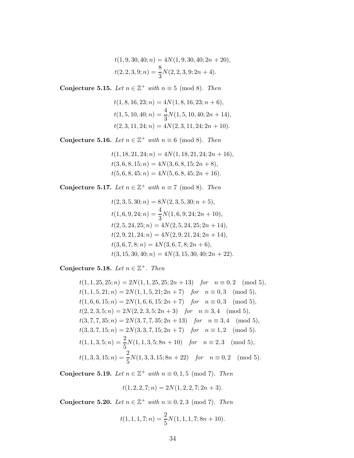$$
t(1,9,30,40;n) = 4N(1,9,30,40;2n+20),
$$
  

$$
t(2,2,3,9;n) = \frac{8}{3}N(2,2,3,9;2n+4).
$$

Conjecture 5.15. Let  $n \in \mathbb{Z}^+$  with  $n \equiv 5 \pmod{8}$ . Then

$$
t(1,8,16,23;n) = 4N(1,8,16,23;n+6),
$$
  
\n
$$
t(1,5,10,40;n) = \frac{4}{3}N(1,5,10,40;2n+14),
$$
  
\n
$$
t(2,3,11,24;n) = 4N(2,3,11,24;2n+10).
$$

Conjecture 5.16. Let  $n \in \mathbb{Z}^+$  with  $n \equiv 6 \pmod{8}$ . Then

 $t(1, 18, 21, 24; n) = 4N(1, 18, 21, 24; 2n + 16),$  $t(3, 6, 8, 15; n) = 4N(3, 6, 8, 15; 2n + 8),$  $t(5, 6, 8, 45; n) = 4N(5, 6, 8, 45; 2n + 16).$ 

Conjecture 5.17. Let  $n \in \mathbb{Z}^+$  with  $n \equiv 7 \pmod{8}$ . Then

$$
t(2,3,5,30;n) = 8N(2,3,5,30;n+5),
$$
  
\n
$$
t(1,6,9,24;n) = \frac{4}{3}N(1,6,9,24;2n+10),
$$
  
\n
$$
t(2,5,24,25;n) = 4N(2,5,24,25;2n+14),
$$
  
\n
$$
t(2,9,21,24;n) = 4N(2,9,21,24;2n+14),
$$
  
\n
$$
t(3,6,7,8;n) = 4N(3,6,7,8;2n+6),
$$
  
\n
$$
t(3,15,30,40;n) = 4N(3,15,30,40;2n+22)
$$

Conjecture 5.18. Let  $n \in \mathbb{Z}^+$ . Then

$$
t(1, 1, 25, 25; n) = 2N(1, 1, 25, 25; 2n + 13) \quad \text{for} \quad n \equiv 0, 2 \pmod{5},
$$
\n
$$
t(1, 1, 5, 21; n) = 2N(1, 1, 5, 21; 2n + 7) \quad \text{for} \quad n \equiv 0, 3 \pmod{5},
$$
\n
$$
t(1, 6, 6, 15; n) = 2N(1, 6, 6, 15; 2n + 7) \quad \text{for} \quad n \equiv 0, 3 \pmod{5},
$$
\n
$$
t(2, 2, 3, 5; n) = 2N(2, 2, 3, 5; 2n + 3) \quad \text{for} \quad n \equiv 3, 4 \pmod{5},
$$
\n
$$
t(3, 7, 7, 35; n) = 2N(3, 7, 7, 35; 2n + 13) \quad \text{for} \quad n \equiv 3, 4 \pmod{5},
$$
\n
$$
t(3, 3, 7, 15; n) = 2N(3, 3, 7, 15; 2n + 7) \quad \text{for} \quad n \equiv 1, 2 \pmod{5}.
$$
\n
$$
t(1, 1, 3, 5; n) = \frac{2}{5}N(1, 1, 3, 5; 8n + 10) \quad \text{for} \quad n \equiv 2, 3 \pmod{5},
$$
\n
$$
t(1, 3, 3, 15; n) = \frac{2}{5}N(1, 3, 3, 15; 8n + 22) \quad \text{for} \quad n \equiv 0, 2 \pmod{5}.
$$

Conjecture 5.19. Let  $n \in \mathbb{Z}^+$  with  $n \equiv 0, 1, 5 \pmod{7}$ . Then

$$
t(1, 2, 2, 7; n) = 2N(1, 2, 2, 7; 2n + 3).
$$

Conjecture 5.20. Let  $n \in \mathbb{Z}^+$  with  $n \equiv 0, 2, 3 \pmod{7}$ . Then

$$
t(1, 1, 1, 7; n) = \frac{2}{5}N(1, 1, 1, 7; 8n + 10).
$$